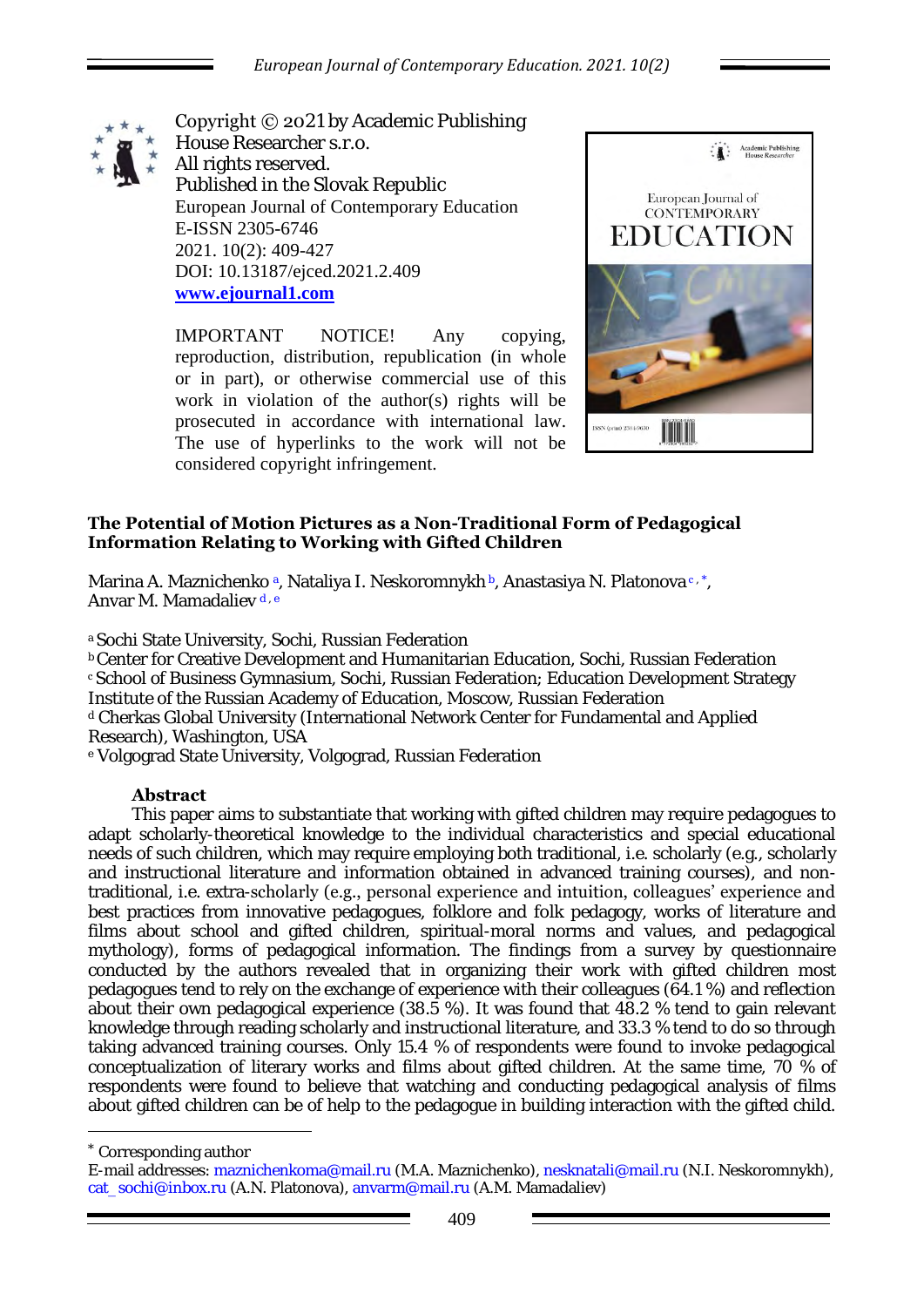

Copyright © 2021 by Academic Publishing House Researcher s.r.o. All rights reserved. Published in the Slovak Republic European Journal of Contemporary Education E-ISSN 2305-6746 2021. 10(2): 409-427 DOI: 10.13187/ejced.2021.2.409 **[www.ejournal1.com](http://www.ejournal1.com/)**

IMPORTANT NOTICE! Any copying, reproduction, distribution, republication (in whole or in part), or otherwise commercial use of this work in violation of the author(s) rights will be prosecuted in accordance with international law. The use of hyperlinks to the work will not be considered copyright infringement.



## **The Potential of Motion Pictures as a Non-Traditional Form of Pedagogical Information Relating to Working with Gifted Children**

Marina A. Maznichenko <sup>a</sup>, Nataliya I. Neskoromnykh b, Anastasiya N. Platonova c, \*, Anvar M. Mamadaliev d.e.

a Sochi State University, Sochi, Russian Federation

<sup>b</sup>Center for Creative Development and Humanitarian Education, Sochi, Russian Federation <sup>с</sup>School of Business Gymnasium, Sochi, Russian Federation; Education Development Strategy Institute of the Russian Academy of Education, Moscow, Russian Federation d Cherkas Global University (International Network Center for Fundamental and Applied Research), Washington, USA

e Volgograd State University, Volgograd, Russian Federation

## **Abstract**

This paper aims to substantiate that working with gifted children may require pedagogues to adapt scholarly-theoretical knowledge to the individual characteristics and special educational needs of such children, which may require employing both traditional, i.e. scholarly (e.g., scholarly and instructional literature and information obtained in advanced training courses), and nontraditional, i.e. extra-scholarly (e.g., personal experience and intuition, colleagues' experience and best practices from innovative pedagogues, folklore and folk pedagogy, works of literature and films about school and gifted children, spiritual-moral norms and values, and pedagogical mythology), forms of pedagogical information. The findings from a survey by questionnaire conducted by the authors revealed that in organizing their work with gifted children most pedagogues tend to rely on the exchange of experience with their colleagues (64.1 %) and reflection about their own pedagogical experience (38.5 %). It was found that 48.2 % tend to gain relevant knowledge through reading scholarly and instructional literature, and 33.3 % tend to do so through taking advanced training courses. Only 15.4 % of respondents were found to invoke pedagogical conceptualization of literary works and films about gifted children. At the same time, 70 % of respondents were found to believe that watching and conducting pedagogical analysis of films about gifted children can be of help to the pedagogue in building interaction with the gifted child.

Corresponding author

1

E-mail addresses: [maznichenkoma@mail.ru](mailto:maznichenkoma@mail.ru) (M.A. Maznichenko), [nesknatali@mail.ru \(](mailto:nesknatali@mail.ru)N.I. Neskoromnykh), cat\_sochi@inbox.ru (A.N. Platonova), anvarm@mail.ru (A.M. Mamadaliev)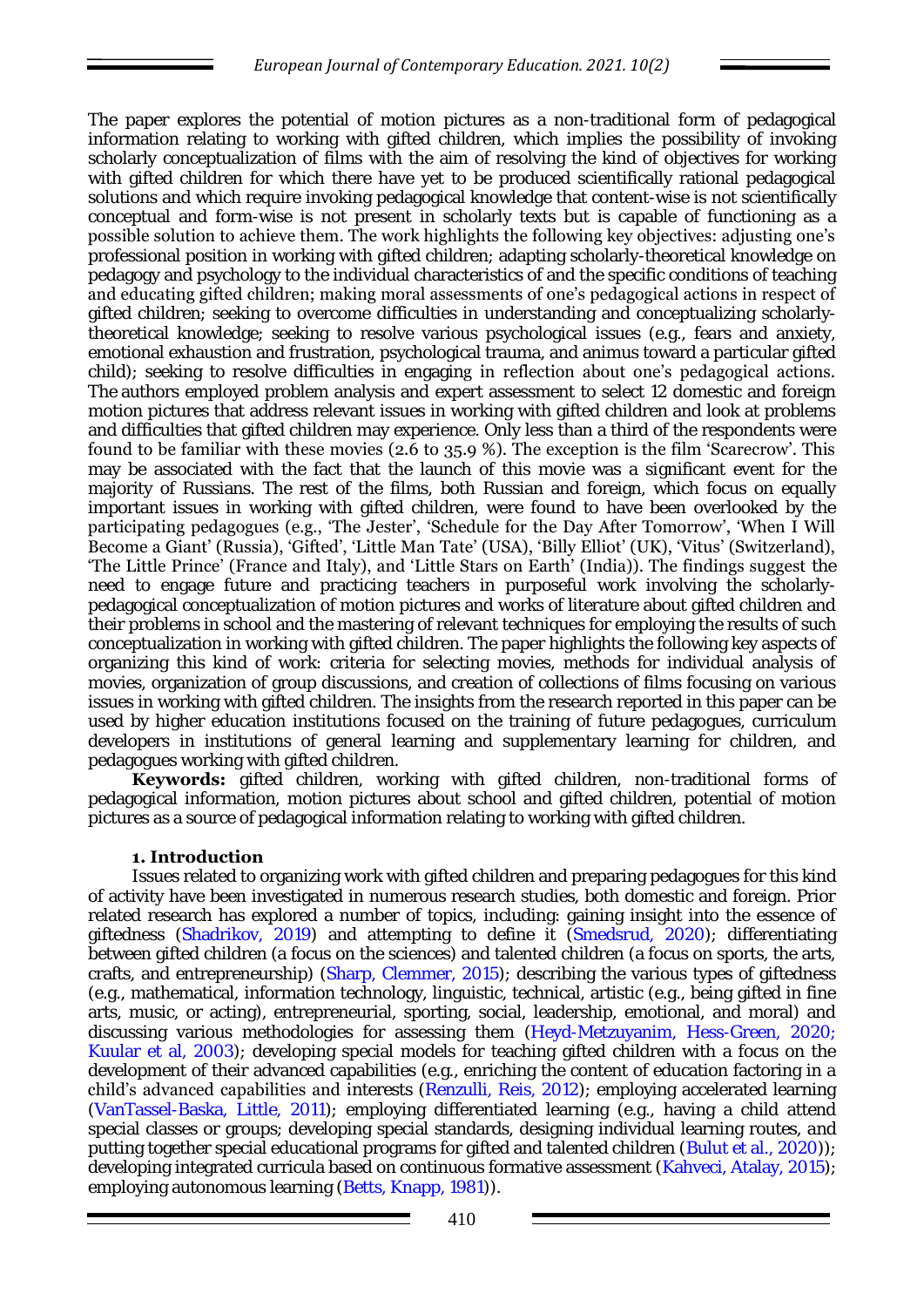The paper explores the potential of motion pictures as a non-traditional form of pedagogical information relating to working with gifted children, which implies the possibility of invoking scholarly conceptualization of films with the aim of resolving the kind of objectives for working with gifted children for which there have yet to be produced scientifically rational pedagogical solutions and which require invoking pedagogical knowledge that content-wise is not scientifically conceptual and form-wise is not present in scholarly texts but is capable of functioning as a possible solution to achieve them. The work highlights the following key objectives: adjusting one's professional position in working with gifted children; adapting scholarly-theoretical knowledge on pedagogy and psychology to the individual characteristics of and the specific conditions of teaching and educating gifted children; making moral assessments of one's pedagogical actions in respect of gifted children; seeking to overcome difficulties in understanding and conceptualizing scholarlytheoretical knowledge; seeking to resolve various psychological issues (e.g., fears and anxiety, emotional exhaustion and frustration, psychological trauma, and animus toward a particular gifted child); seeking to resolve difficulties in engaging in reflection about one's pedagogical actions. The authors employed problem analysis and expert assessment to select 12 domestic and foreign motion pictures that address relevant issues in working with gifted children and look at problems and difficulties that gifted children may experience. Only less than a third of the respondents were found to be familiar with these movies (2.6 to 35.9 %). The exception is the film 'Scarecrow'. This may be associated with the fact that the launch of this movie was a significant event for the majority of Russians. The rest of the films, both Russian and foreign, which focus on equally important issues in working with gifted children, were found to have been overlooked by the participating pedagogues (e.g., 'The Jester', 'Schedule for the Day After Tomorrow', 'When I Will Become a Giant' (Russia), 'Gifted', 'Little Man Tate' (USA), 'Billy Elliot' (UK), 'Vitus' (Switzerland), 'The Little Prince' (France and Italy), and 'Little Stars on Earth' (India)). The findings suggest the need to engage future and practicing teachers in purposeful work involving the scholarlypedagogical conceptualization of motion pictures and works of literature about gifted children and their problems in school and the mastering of relevant techniques for employing the results of such conceptualization in working with gifted children. The paper highlights the following key aspects of organizing this kind of work: criteria for selecting movies, methods for individual analysis of movies, organization of group discussions, and creation of collections of films focusing on various issues in working with gifted children. The insights from the research reported in this paper can be used by higher education institutions focused on the training of future pedagogues, curriculum developers in institutions of general learning and supplementary learning for children, and pedagogues working with gifted children.

**Keywords:** gifted children, working with gifted children, non-traditional forms of pedagogical information, motion pictures about school and gifted children, potential of motion pictures as a source of pedagogical information relating to working with gifted children.

## **1. Introduction**

Issues related to organizing work with gifted children and preparing pedagogues for this kind of activity have been investigated in numerous research studies, both domestic and foreign. Prior related research has explored a number of topics, including: gaining insight into the essence of giftedness (Shadrikov, 2019) and attempting to define it (Smedsrud, 2020); differentiating between gifted children (a focus on the sciences) and talented children (a focus on sports, the arts, crafts, and entrepreneurship) (Sharp, Clemmer, 2015); describing the various types of giftedness (e.g., mathematical, information technology, linguistic, technical, artistic (e.g., being gifted in fine arts, music, or acting), entrepreneurial, sporting, social, leadership, emotional, and moral) and discussing various methodologies for assessing them (Heyd-Metzuyanim, Hess-Green, 2020; Kuular et al, 2003); developing special models for teaching gifted children with a focus on the development of their advanced capabilities (e.g., enriching the content of education factoring in a child's advanced capabilities and interests (Renzulli, Reis, 2012); employing accelerated learning (VanTassel-Baska, Little, 2011); employing differentiated learning (e.g., having a child attend special classes or groups; developing special standards, designing individual learning routes, and putting together special educational programs for gifted and talented children (Bulut et al., 2020)); developing integrated curricula based on continuous formative assessment (Kahveci, Atalay, 2015); employing autonomous learning (Betts, Knapp, 1981)).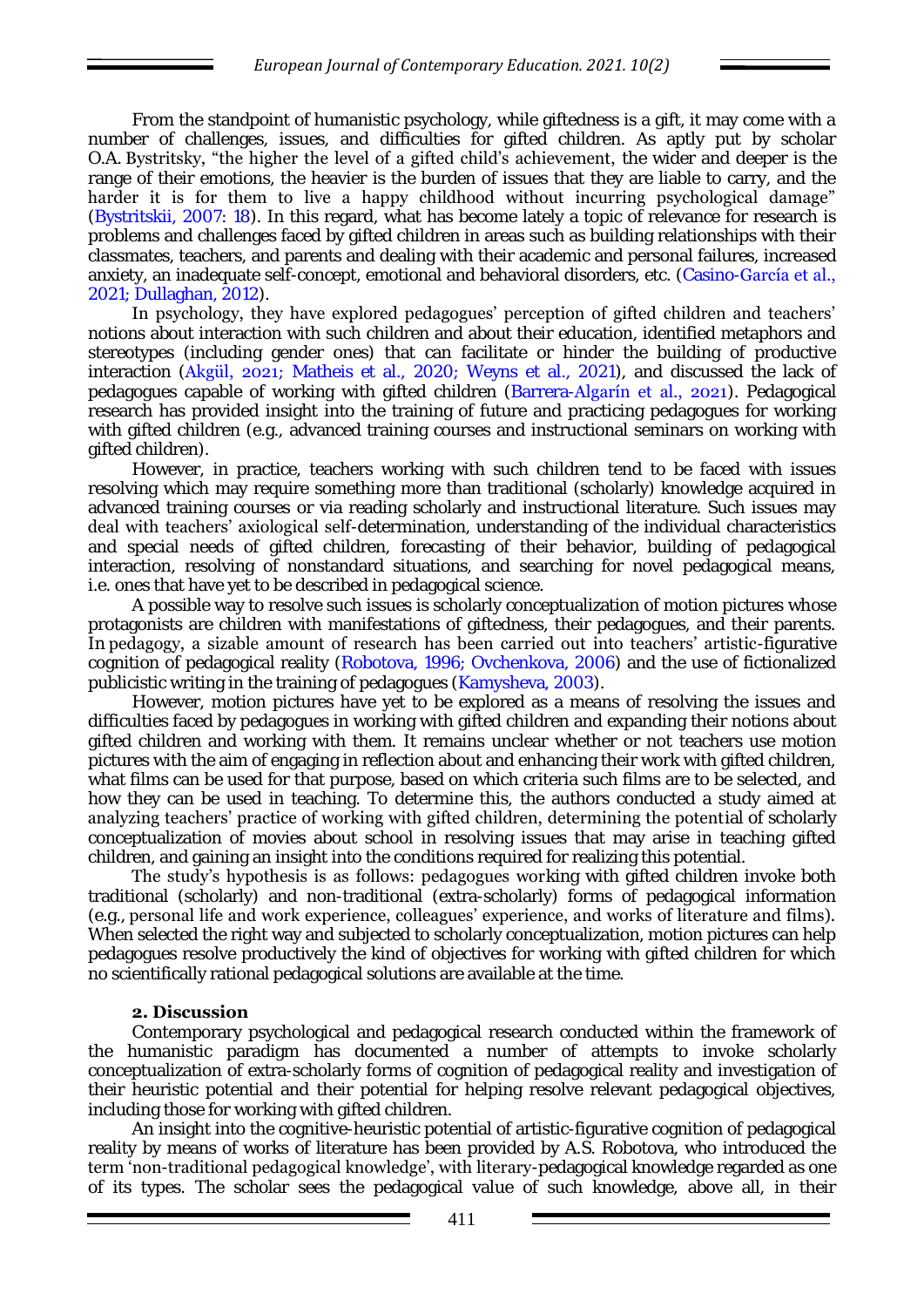From the standpoint of humanistic psychology, while giftedness is a gift, it may come with a number of challenges, issues, and difficulties for gifted children. As aptly put by scholar O.A. Bystritsky, "the higher the level of a gifted child's achievement, the wider and deeper is the range of their emotions, the heavier is the burden of issues that they are liable to carry, and the harder it is for them to live a happy childhood without incurring psychological damage" (Bystritskii, 2007: 18). In this regard, what has become lately a topic of relevance for research is problems and challenges faced by gifted children in areas such as building relationships with their classmates, teachers, and parents and dealing with their academic and personal failures, increased anxiety, an inadequate self-concept, emotional and behavioral disorders, etc. (Casino-García et al., 2021; Dullaghan, 2012).

In psychology, they have explored pedagogues' perception of gifted children and teachers' notions about interaction with such children and about their education, identified metaphors and stereotypes (including gender ones) that can facilitate or hinder the building of productive interaction (Akgül, 2021; Matheis et al., 2020; Weyns et al., 2021), and discussed the lack of pedagogues capable of working with gifted children (Barrera-Algarín et al., 2021). Pedagogical research has provided insight into the training of future and practicing pedagogues for working with gifted children (e.g., advanced training courses and instructional seminars on working with gifted children).

However, in practice, teachers working with such children tend to be faced with issues resolving which may require something more than traditional (scholarly) knowledge acquired in advanced training courses or via reading scholarly and instructional literature. Such issues may deal with teachers' axiological self-determination, understanding of the individual characteristics and special needs of gifted children, forecasting of their behavior, building of pedagogical interaction, resolving of nonstandard situations, and searching for novel pedagogical means, i.e. ones that have yet to be described in pedagogical science.

A possible way to resolve such issues is scholarly conceptualization of motion pictures whose protagonists are children with manifestations of giftedness, their pedagogues, and their parents. In pedagogy, a sizable amount of research has been carried out into teachers' artistic-figurative cognition of pedagogical reality (Robotova, 1996; Ovchenkova, 2006) and the use of fictionalized publicistic writing in the training of pedagogues (Kamysheva, 2003).

However, motion pictures have yet to be explored as a means of resolving the issues and difficulties faced by pedagogues in working with gifted children and expanding their notions about gifted children and working with them. It remains unclear whether or not teachers use motion pictures with the aim of engaging in reflection about and enhancing their work with gifted children, what films can be used for that purpose, based on which criteria such films are to be selected, and how they can be used in teaching. To determine this, the authors conducted a study aimed at analyzing teachers' practice of working with gifted children, determining the potential of scholarly conceptualization of movies about school in resolving issues that may arise in teaching gifted children, and gaining an insight into the conditions required for realizing this potential.

The study's hypothesis is as follows: pedagogues working with gifted children invoke both traditional (scholarly) and non-traditional (extra-scholarly) forms of pedagogical information (e.g., personal life and work experience, colleagues' experience, and works of literature and films). When selected the right way and subjected to scholarly conceptualization, motion pictures can help pedagogues resolve productively the kind of objectives for working with gifted children for which no scientifically rational pedagogical solutions are available at the time.

## **2. Discussion**

Contemporary psychological and pedagogical research conducted within the framework of the humanistic paradigm has documented a number of attempts to invoke scholarly conceptualization of extra-scholarly forms of cognition of pedagogical reality and investigation of their heuristic potential and their potential for helping resolve relevant pedagogical objectives, including those for working with gifted children.

An insight into the cognitive-heuristic potential of artistic-figurative cognition of pedagogical reality by means of works of literature has been provided by A.S. Robotova, who introduced the term 'non-traditional pedagogical knowledge', with literary-pedagogical knowledge regarded as one of its types. The scholar sees the pedagogical value of such knowledge, above all, in their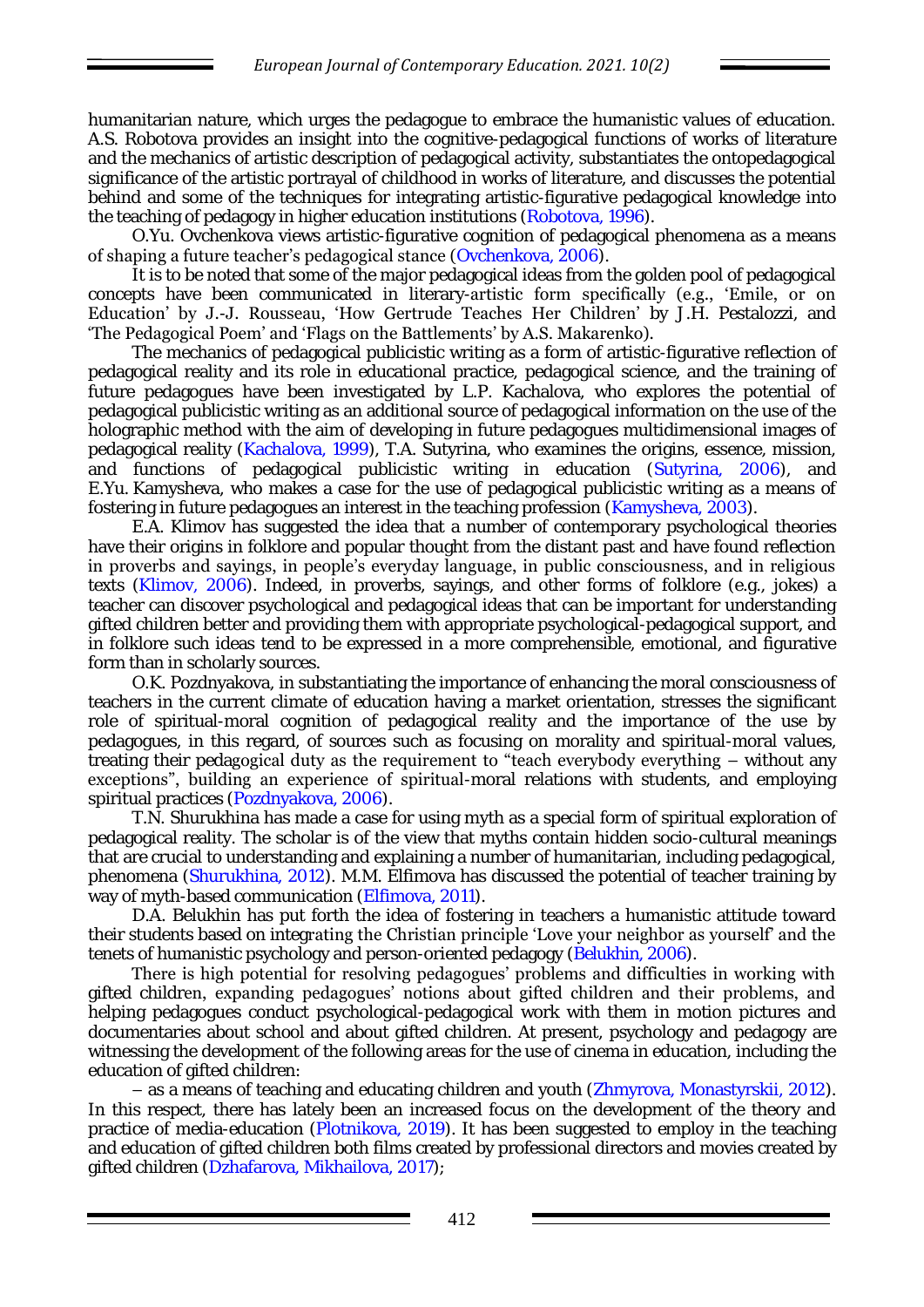humanitarian nature, which urges the pedagogue to embrace the humanistic values of education. A.S. Robotova provides an insight into the cognitive-pedagogical functions of works of literature and the mechanics of artistic description of pedagogical activity, substantiates the ontopedagogical significance of the artistic portrayal of childhood in works of literature, and discusses the potential behind and some of the techniques for integrating artistic-figurative pedagogical knowledge into the teaching of pedagogy in higher education institutions (Robotova, 1996).

O.Yu. Ovchenkova views artistic-figurative cognition of pedagogical phenomena as a means of shaping a future teacher's pedagogical stance (Ovchenkova, 2006).

It is to be noted that some of the major pedagogical ideas from the golden pool of pedagogical concepts have been communicated in literary-artistic form specifically (e.g., 'Emile, or on Education' by J.-J. Rousseau, 'How Gertrude Teaches Her Children' by J.H. Pestalozzi, and 'The Pedagogical Poem' and 'Flags on the Battlements' by A.S. Makarenko).

The mechanics of pedagogical publicistic writing as a form of artistic-figurative reflection of pedagogical reality and its role in educational practice, pedagogical science, and the training of future pedagogues have been investigated by L.P. Kachalova, who explores the potential of pedagogical publicistic writing as an additional source of pedagogical information on the use of the holographic method with the aim of developing in future pedagogues multidimensional images of pedagogical reality (Kachalova, 1999), T.A. Sutyrina, who examines the origins, essence, mission, and functions of pedagogical publicistic writing in education (Sutyrina, 2006), and E.Yu. Kamysheva, who makes a case for the use of pedagogical publicistic writing as a means of fostering in future pedagogues an interest in the teaching profession (Kamysheva, 2003).

E.A. Klimov has suggested the idea that a number of contemporary psychological theories have their origins in folklore and popular thought from the distant past and have found reflection in proverbs and sayings, in people's everyday language, in public consciousness, and in religious texts (Klimov, 2006). Indeed, in proverbs, sayings, and other forms of folklore (e.g., jokes) a teacher can discover psychological and pedagogical ideas that can be important for understanding gifted children better and providing them with appropriate psychological-pedagogical support, and in folklore such ideas tend to be expressed in a more comprehensible, emotional, and figurative form than in scholarly sources.

O.K. Pozdnyakova, in substantiating the importance of enhancing the moral consciousness of teachers in the current climate of education having a market orientation, stresses the significant role of spiritual-moral cognition of pedagogical reality and the importance of the use by pedagogues, in this regard, of sources such as focusing on morality and spiritual-moral values, treating their pedagogical duty as the requirement to "teach everybody everything – without any exceptions", building an experience of spiritual-moral relations with students, and employing spiritual practices (Pozdnyakova, 2006).

T.N. Shurukhina has made a case for using myth as a special form of spiritual exploration of pedagogical reality. The scholar is of the view that myths contain hidden socio-cultural meanings that are crucial to understanding and explaining a number of humanitarian, including pedagogical, phenomena (Shurukhina, 2012). M.M. Elfimova has discussed the potential of teacher training by way of myth-based communication (Elfimova, 2011).

D.A. Belukhin has put forth the idea of fostering in teachers a humanistic attitude toward their students based on integrating the Christian principle 'Love your neighbor as yourself' and the tenets of humanistic psychology and person-oriented pedagogy (Belukhin, 2006).

There is high potential for resolving pedagogues' problems and difficulties in working with gifted children, expanding pedagogues' notions about gifted children and their problems, and helping pedagogues conduct psychological-pedagogical work with them in motion pictures and documentaries about school and about gifted children. At present, psychology and pedagogy are witnessing the development of the following areas for the use of cinema in education, including the education of gifted children:

– as a means of teaching and educating children and youth (Zhmyrova, Monastyrskii, 2012). In this respect, there has lately been an increased focus on the development of the theory and practice of media-education (Plotnikova, 2019). It has been suggested to employ in the teaching and education of gifted children both films created by professional directors and movies created by gifted children (Dzhafarova, Mikhailova, 2017);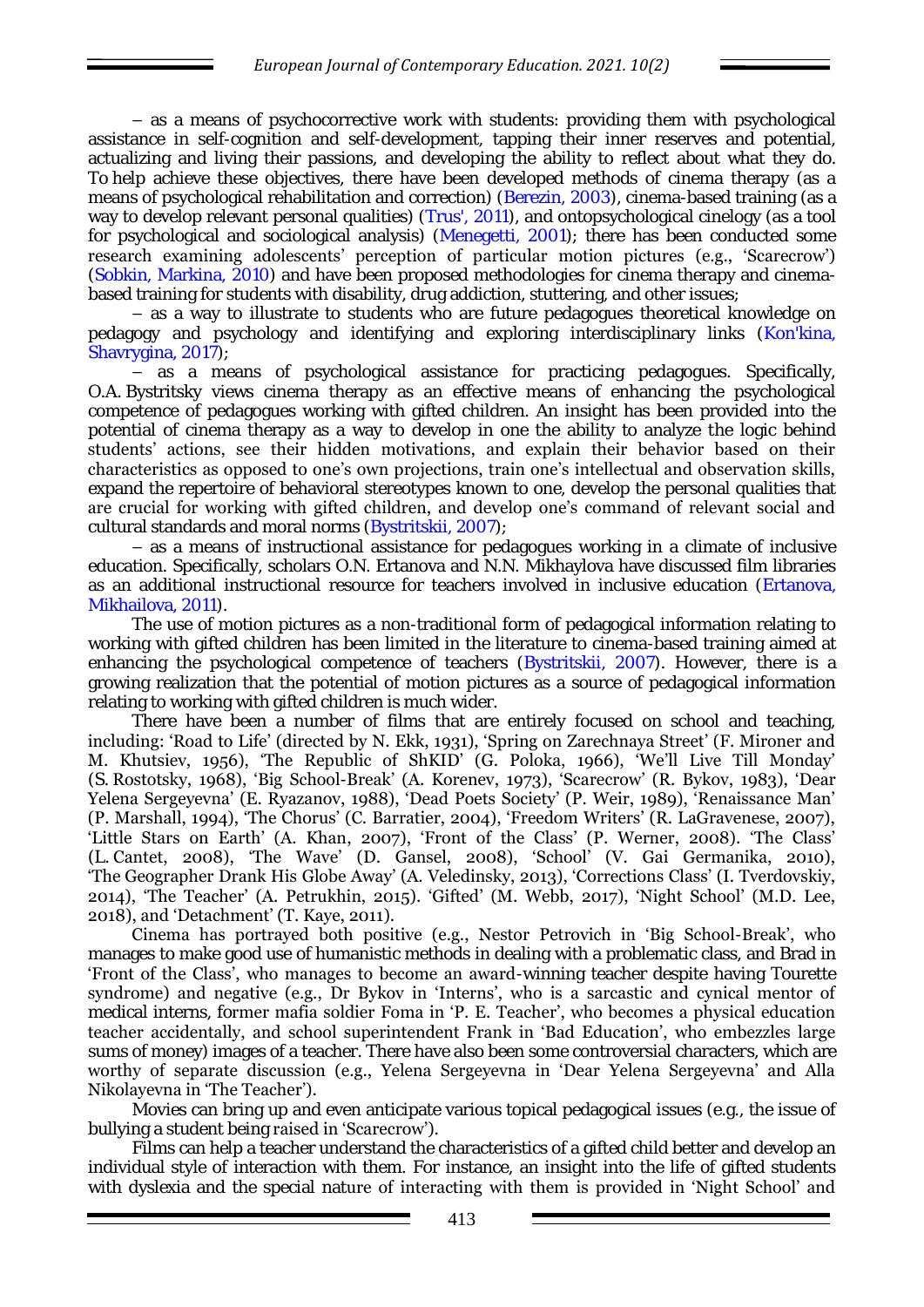– as a means of psychocorrective work with students: providing them with psychological assistance in self-cognition and self-development, tapping their inner reserves and potential, actualizing and living their passions, and developing the ability to reflect about what they do. To help achieve these objectives, there have been developed methods of cinema therapy (as a means of psychological rehabilitation and correction) (Berezin, 2003), cinema-based training (as a way to develop relevant personal qualities) (Trus', 2011), and ontopsychological cinelogy (as a tool for psychological and sociological analysis) (Menegetti, 2001); there has been conducted some research examining adolescents' perception of particular motion pictures (e.g., 'Scarecrow') (Sobkin, Markina, 2010) and have been proposed methodologies for cinema therapy and cinemabased training for students with disability, drug addiction, stuttering, and other issues;

– as a way to illustrate to students who are future pedagogues theoretical knowledge on pedagogy and psychology and identifying and exploring interdisciplinary links (Kon'kina, Shavrygina, 2017);

– as a means of psychological assistance for practicing pedagogues. Specifically, O.A. Bystritsky views cinema therapy as an effective means of enhancing the psychological competence of pedagogues working with gifted children. An insight has been provided into the potential of cinema therapy as a way to develop in one the ability to analyze the logic behind students' actions, see their hidden motivations, and explain their behavior based on their characteristics as opposed to one's own projections, train one's intellectual and observation skills, expand the repertoire of behavioral stereotypes known to one, develop the personal qualities that are crucial for working with gifted children, and develop one's command of relevant social and cultural standards and moral norms (Bystritskii, 2007);

– as a means of instructional assistance for pedagogues working in a climate of inclusive education. Specifically, scholars O.N. Ertanova and N.N. Mikhaylova have discussed film libraries as an additional instructional resource for teachers involved in inclusive education (Ertanova, Mikhailova, 2011).

The use of motion pictures as a non-traditional form of pedagogical information relating to working with gifted children has been limited in the literature to cinema-based training aimed at enhancing the psychological competence of teachers (Bystritskii, 2007). However, there is a growing realization that the potential of motion pictures as a source of pedagogical information relating to working with gifted children is much wider.

There have been a number of films that are entirely focused on school and teaching, including: 'Road to Life' (directed by N. Ekk, 1931), 'Spring on Zarechnaya Street' (F. Mironer and M. Khutsiev, 1956), 'The Republic of ShKID' (G. Poloka, 1966), 'We'll Live Till Monday' (S. Rostotsky, 1968), 'Big School-Break' (A. Korenev, 1973), 'Scarecrow' (R. Bykov, 1983), 'Dear Yelena Sergeyevna' (E. Ryazanov, 1988), 'Dead Poets Society' (P. Weir, 1989), 'Renaissance Man' (P. Marshall, 1994), 'The Chorus' (C. Barratier, 2004), 'Freedom Writers' (R. LaGravenese, 2007), 'Little Stars on Earth' (A. Khan, 2007), 'Front of the Class' (P. Werner, 2008). 'The Class' (L. Cantet, 2008), 'The Wave' (D. Gansel, 2008), 'School' (V. Gai Germanika, 2010), 'The Geographer Drank His Globe Away' (A. Veledinsky, 2013), 'Corrections Class' (I. Tverdovskiy, 2014), 'The Teacher' (A. Petrukhin, 2015). 'Gifted' (M. Webb, 2017), 'Night School' (M.D. Lee, 2018), and 'Detachment' (T. Kaye, 2011).

Cinema has portrayed both positive (e.g., Nestor Petrovich in 'Big School-Break', who manages to make good use of humanistic methods in dealing with a problematic class, and Brad in 'Front of the Class', who manages to become an award-winning teacher despite having Tourette syndrome) and negative (e.g., Dr Bykov in 'Interns', who is a sarcastic and cynical mentor of medical interns, former mafia soldier Foma in 'P. E. Teacher', who becomes a physical education teacher accidentally, and school superintendent Frank in 'Bad Education', who embezzles large sums of money) images of a teacher. There have also been some controversial characters, which are worthy of separate discussion (e.g., Yelena Sergeyevna in 'Dear Yelena Sergeyevna' and Alla Nikolayevna in 'The Teacher').

Movies can bring up and even anticipate various topical pedagogical issues (e.g., the issue of bullying a student being raised in 'Scarecrow').

Films can help a teacher understand the characteristics of a gifted child better and develop an individual style of interaction with them. For instance, an insight into the life of gifted students with dyslexia and the special nature of interacting with them is provided in 'Night School' and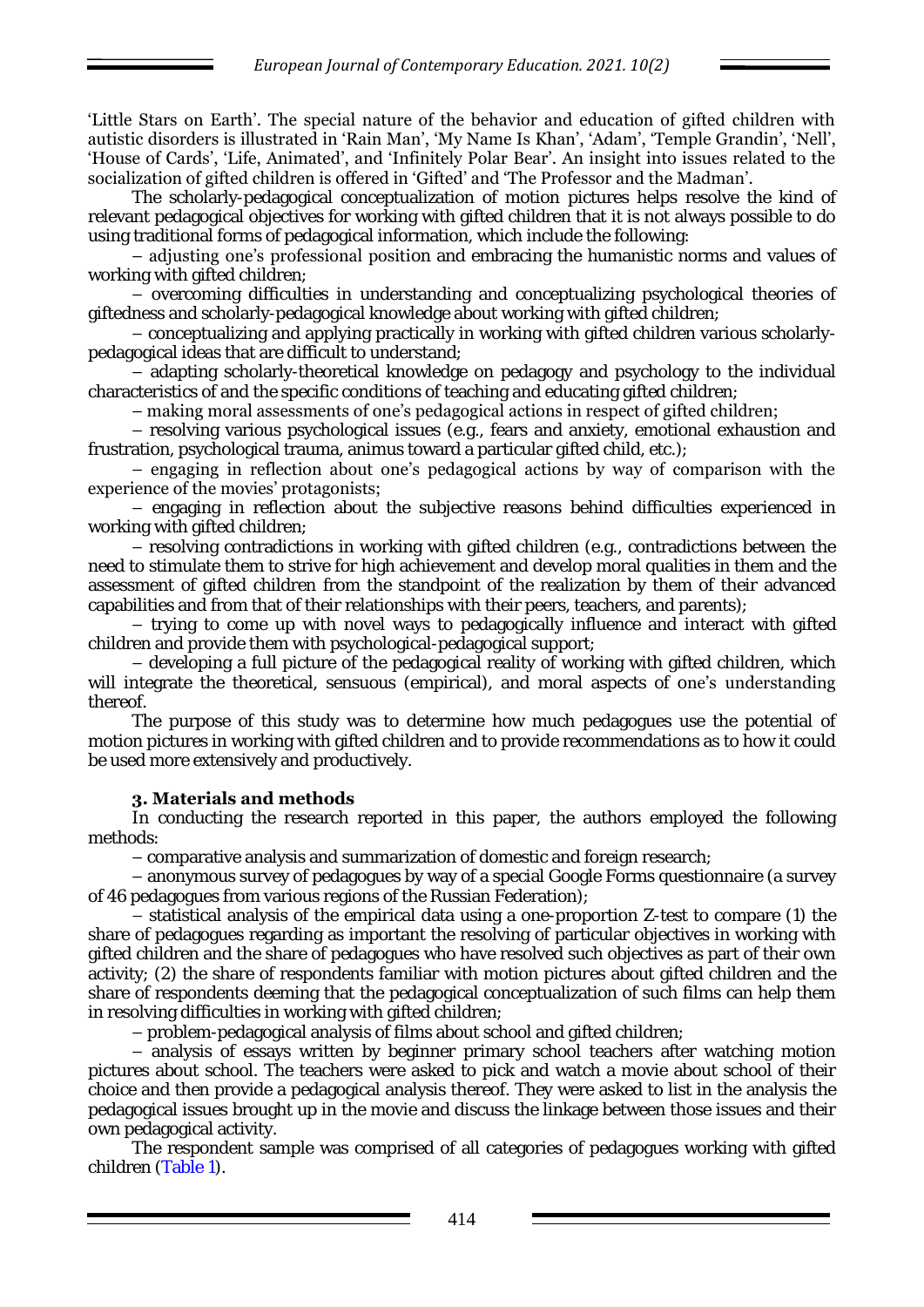'Little Stars on Earth'. The special nature of the behavior and education of gifted children with autistic disorders is illustrated in 'Rain Man', 'My Name Is Khan', 'Adam', 'Temple Grandin', 'Nell', 'House of Cards', 'Life, Animated', and 'Infinitely Polar Bear'. An insight into issues related to the socialization of gifted children is offered in 'Gifted' and 'The Professor and the Madman'.

The scholarly-pedagogical conceptualization of motion pictures helps resolve the kind of relevant pedagogical objectives for working with gifted children that it is not always possible to do using traditional forms of pedagogical information, which include the following:

– adjusting one's professional position and embracing the humanistic norms and values of working with gifted children;

– overcoming difficulties in understanding and conceptualizing psychological theories of giftedness and scholarly-pedagogical knowledge about working with gifted children;

– conceptualizing and applying practically in working with gifted children various scholarlypedagogical ideas that are difficult to understand;

– adapting scholarly-theoretical knowledge on pedagogy and psychology to the individual characteristics of and the specific conditions of teaching and educating gifted children;

– making moral assessments of one's pedagogical actions in respect of gifted children;

– resolving various psychological issues (e.g., fears and anxiety, emotional exhaustion and frustration, psychological trauma, animus toward a particular gifted child, etc.);

– engaging in reflection about one's pedagogical actions by way of comparison with the experience of the movies' protagonists;

– engaging in reflection about the subjective reasons behind difficulties experienced in working with gifted children;

– resolving contradictions in working with gifted children (e.g., contradictions between the need to stimulate them to strive for high achievement and develop moral qualities in them and the assessment of gifted children from the standpoint of the realization by them of their advanced capabilities and from that of their relationships with their peers, teachers, and parents);

– trying to come up with novel ways to pedagogically influence and interact with gifted children and provide them with psychological-pedagogical support;

– developing a full picture of the pedagogical reality of working with gifted children, which will integrate the theoretical, sensuous (empirical), and moral aspects of one's understanding thereof.

The purpose of this study was to determine how much pedagogues use the potential of motion pictures in working with gifted children and to provide recommendations as to how it could be used more extensively and productively.

## **3. Materials and methods**

In conducting the research reported in this paper, the authors employed the following methods:

– comparative analysis and summarization of domestic and foreign research;

– anonymous survey of pedagogues by way of a special Google Forms questionnaire (a survey of 46 pedagogues from various regions of the Russian Federation);

*–* statistical analysis of the empirical data using a one-proportion Z-test to compare (1) the share of pedagogues regarding as important the resolving of particular objectives in working with gifted children and the share of pedagogues who have resolved such objectives as part of their own activity; (2) the share of respondents familiar with motion pictures about gifted children and the share of respondents deeming that the pedagogical conceptualization of such films can help them in resolving difficulties in working with gifted children;

– problem-pedagogical analysis of films about school and gifted children;

– analysis of essays written by beginner primary school teachers after watching motion pictures about school. The teachers were asked to pick and watch a movie about school of their choice and then provide a pedagogical analysis thereof. They were asked to list in the analysis the pedagogical issues brought up in the movie and discuss the linkage between those issues and their own pedagogical activity.

The respondent sample was comprised of all categories of pedagogues working with gifted children (Table 1).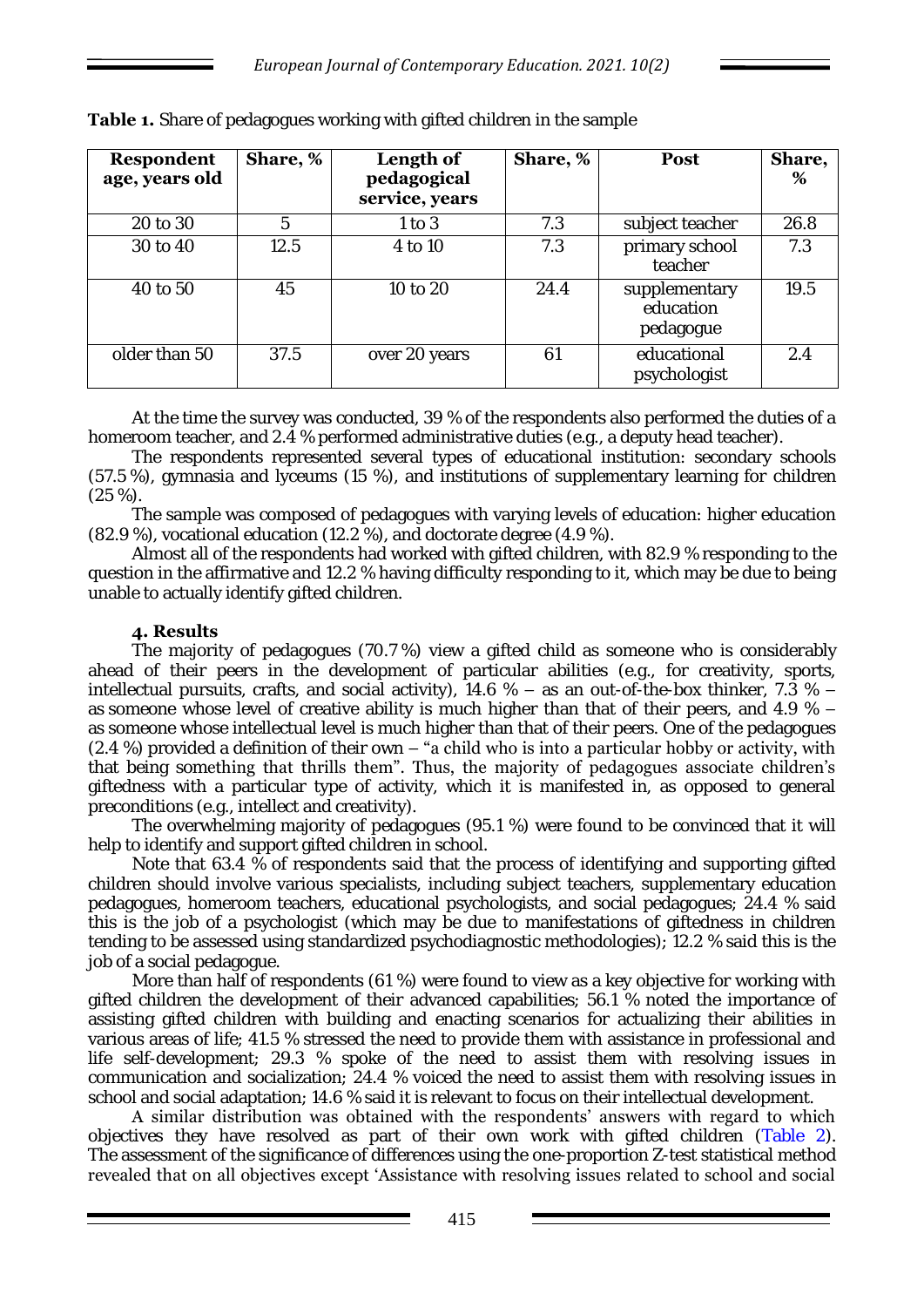| <b>Respondent</b><br>age, years old | Share, % | Length of<br>pedagogical<br>service, years | Share, % | Post                                    | Share,<br>% |
|-------------------------------------|----------|--------------------------------------------|----------|-----------------------------------------|-------------|
| 20 to 30                            | 5        | 1 to 3                                     | 7.3      | subject teacher                         | 26.8        |
| 30 to 40                            | 12.5     | 4 to 10                                    | 7.3      | primary school<br>teacher               | 7.3         |
| 40 to 50                            | 45       | 10 to 20                                   | 24.4     | supplementary<br>education<br>pedagogue | 19.5        |
| older than 50                       | 37.5     | over 20 years                              | 61       | educational<br>psychologist             | 2.4         |

Table 1. Share of pedagogues working with gifted children in the sample

At the time the survey was conducted, 39 % of the respondents also performed the duties of a homeroom teacher, and 2.4 % performed administrative duties (e.g., a deputy head teacher).

The respondents represented several types of educational institution: secondary schools (57.5 %), gymnasia and lyceums (15 %), and institutions of supplementary learning for children (25 %).

The sample was composed of pedagogues with varying levels of education: higher education (82.9 %), vocational education (12.2 %), and doctorate degree (4.9 %).

Almost all of the respondents had worked with gifted children, with 82.9 % responding to the question in the affirmative and 12.2 % having difficulty responding to it, which may be due to being unable to actually identify gifted children.

## **4. Results**

The majority of pedagogues (70.7 %) view a gifted child as someone who is considerably ahead of their peers in the development of particular abilities (e.g., for creativity, sports, intellectual pursuits, crafts, and social activity), 14.6 % – as an out-of-the-box thinker, 7.3 % – as someone whose level of creative ability is much higher than that of their peers, and 4.9  $%$  as someone whose intellectual level is much higher than that of their peers. One of the pedagogues  $(2.4 \%)$  provided a definition of their own – "a child who is into a particular hobby or activity, with that being something that thrills them". Thus, the majority of pedagogues associate children's giftedness with a particular type of activity, which it is manifested in, as opposed to general preconditions (e.g., intellect and creativity).

The overwhelming majority of pedagogues (95.1 %) were found to be convinced that it will help to identify and support gifted children in school.

Note that 63.4 % of respondents said that the process of identifying and supporting gifted children should involve various specialists, including subject teachers, supplementary education pedagogues, homeroom teachers, educational psychologists, and social pedagogues; 24.4 % said this is the job of a psychologist (which may be due to manifestations of giftedness in children tending to be assessed using standardized psychodiagnostic methodologies); 12.2 % said this is the job of a social pedagogue.

More than half of respondents (61 %) were found to view as a key objective for working with gifted children the development of their advanced capabilities; 56.1 % noted the importance of assisting gifted children with building and enacting scenarios for actualizing their abilities in various areas of life; 41.5 % stressed the need to provide them with assistance in professional and life self-development; 29.3 % spoke of the need to assist them with resolving issues in communication and socialization; 24.4 % voiced the need to assist them with resolving issues in school and social adaptation; 14.6 % said it is relevant to focus on their intellectual development.

A similar distribution was obtained with the respondents' answers with regard to which objectives they have resolved as part of their own work with gifted children (Table 2). The assessment of the significance of differences using the one-proportion Z-test statistical method revealed that on all objectives except 'Assistance with resolving issues related to school and social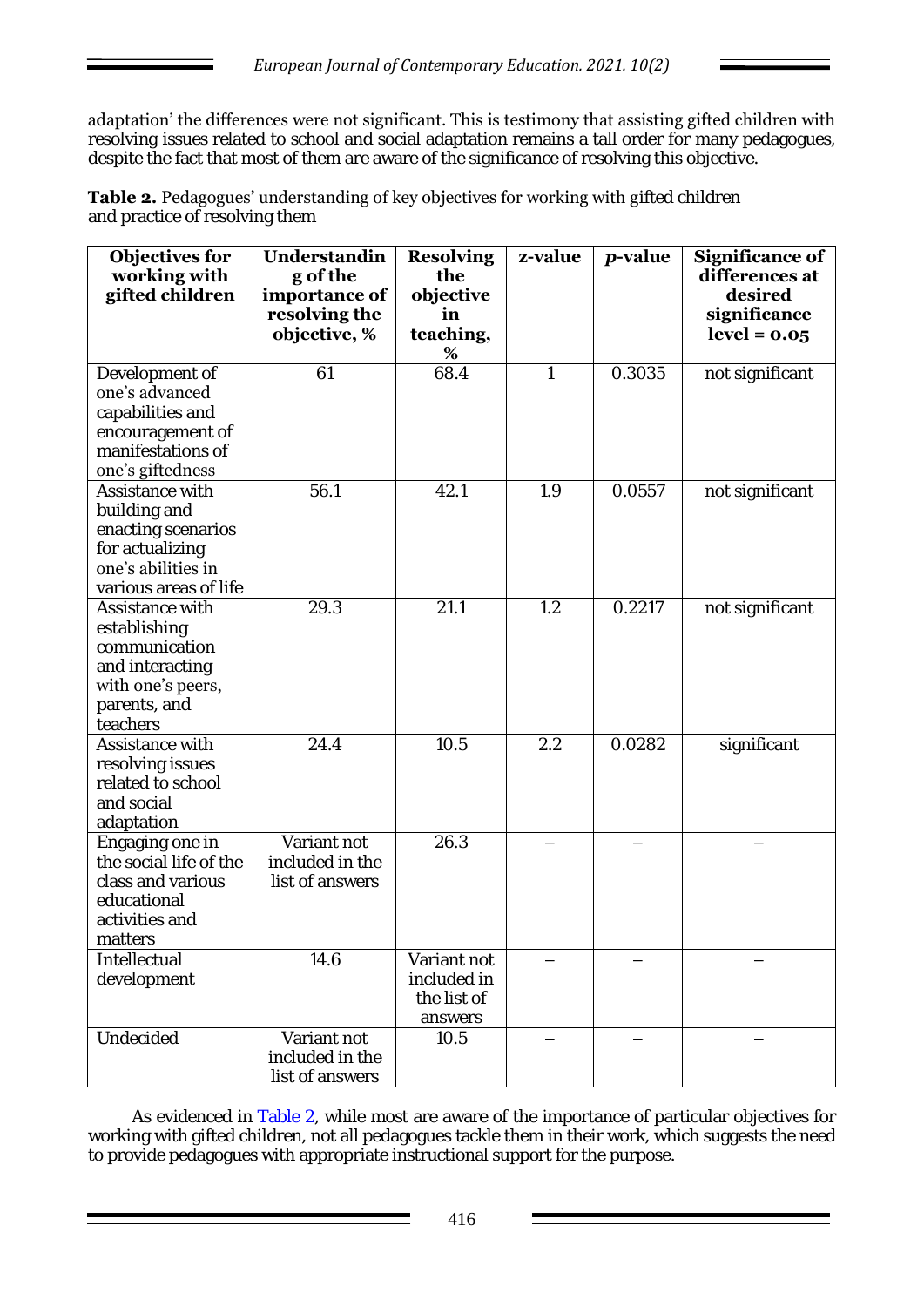adaptation' the differences were not significant. This is testimony that assisting gifted children with resolving issues related to school and social adaptation remains a tall order for many pedagogues, despite the fact that most of them are aware of the significance of resolving this objective.

Table 2. Pedagogues' understanding of key objectives for working with gifted children and practice of resolving them

| <b>Objectives for</b><br>working with<br>gifted children                                                                | Understandin<br>g of the<br>importance of<br>resolving the<br>objective, % | <b>Resolving</b><br>the<br>objective<br>in<br>teaching,<br>$\%$ | z-value | <i>p</i> -value | <b>Significance of</b><br>differences at<br>desired<br>significance<br>$level = 0.05$ |
|-------------------------------------------------------------------------------------------------------------------------|----------------------------------------------------------------------------|-----------------------------------------------------------------|---------|-----------------|---------------------------------------------------------------------------------------|
| Development of<br>one's advanced<br>capabilities and<br>encouragement of<br>manifestations of<br>one's giftedness       | 61                                                                         | 68.4                                                            | 1       | 0.3035          | not significant                                                                       |
| Assistance with<br>building and<br>enacting scenarios<br>for actualizing<br>one's abilities in<br>various areas of life | 56.1                                                                       | 42.1                                                            | 1.9     | 0.0557          | not significant                                                                       |
| Assistance with<br>establishing<br>communication<br>and interacting<br>with one's peers,<br>parents, and<br>teachers    | 29.3                                                                       | 21.1                                                            | 1.2     | 0.2217          | not significant                                                                       |
| Assistance with<br>resolving issues<br>related to school<br>and social<br>adaptation                                    | 24.4                                                                       | 10.5                                                            | 2.2     | 0.0282          | significant                                                                           |
| Engaging one in<br>the social life of the<br>class and various<br>educational<br>activities and<br>matters              | Variant not<br>included in the<br>list of answers                          | 26.3                                                            |         |                 |                                                                                       |
| Intellectual<br>development                                                                                             | 14.6                                                                       | Variant not<br>included in<br>the list of<br>answers            |         |                 |                                                                                       |
| Undecided                                                                                                               | Variant not<br>included in the<br>list of answers                          | 10.5                                                            |         |                 |                                                                                       |

As evidenced in Table 2, while most are aware of the importance of particular objectives for working with gifted children, not all pedagogues tackle them in their work, which suggests the need to provide pedagogues with appropriate instructional support for the purpose.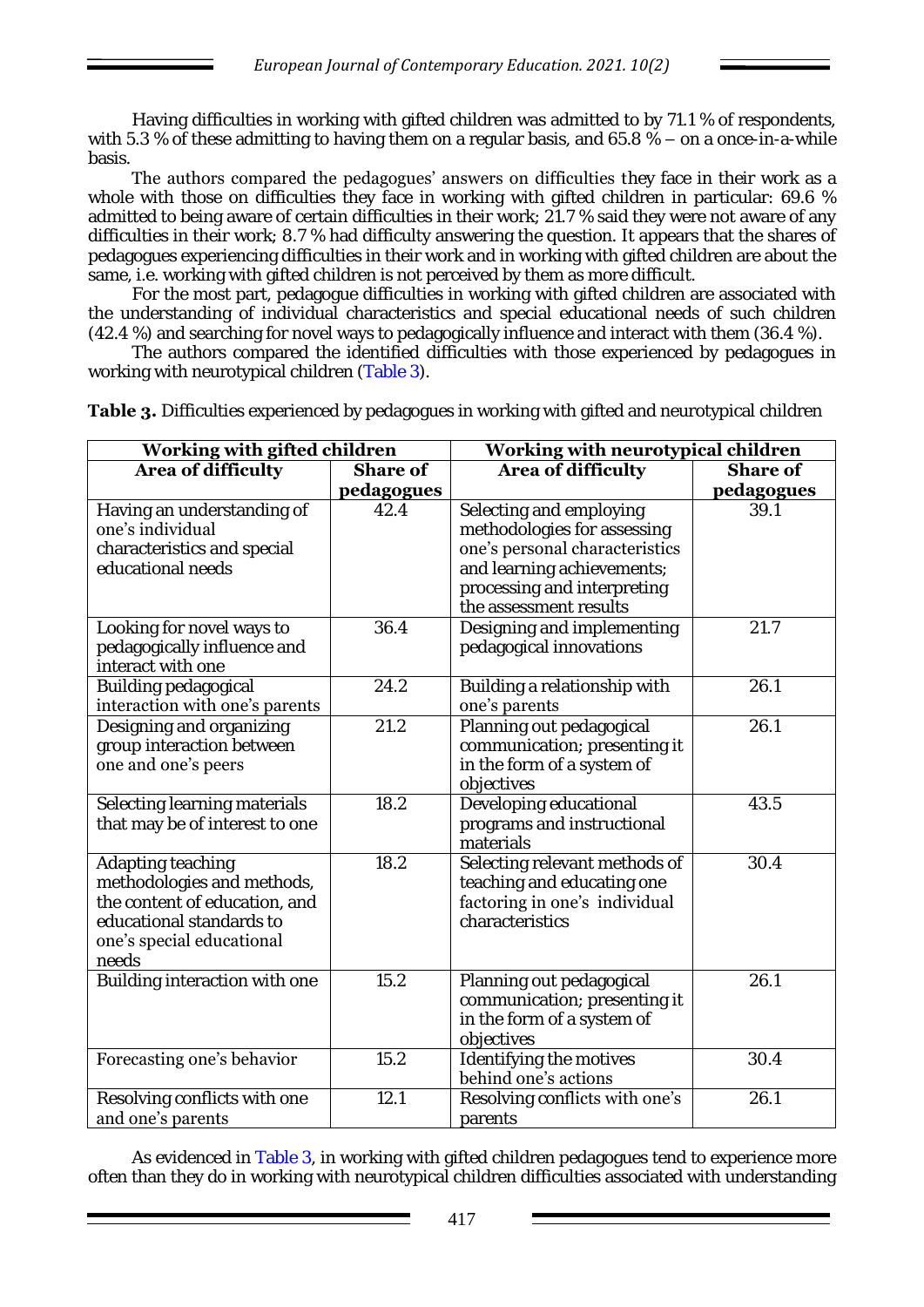Having difficulties in working with gifted children was admitted to by 71.1 % of respondents, with 5.3 % of these admitting to having them on a regular basis, and 65.8 % – on a once-in-a-while basis.

The authors compared the pedagogues' answers on difficulties they face in their work as a whole with those on difficulties they face in working with gifted children in particular: 69.6 % admitted to being aware of certain difficulties in their work; 21.7 % said they were not aware of any difficulties in their work; 8.7 % had difficulty answering the question. It appears that the shares of pedagogues experiencing difficulties in their work and in working with gifted children are about the same, i.e. working with gifted children is not perceived by them as more difficult.

For the most part, pedagogue difficulties in working with gifted children are associated with the understanding of individual characteristics and special educational needs of such children (42.4 %) and searching for novel ways to pedagogically influence and interact with them (36.4 %).

The authors compared the identified difficulties with those experienced by pedagogues in working with neurotypical children (Table 3).

| Working with gifted children                                                                                                                       |                               | Working with neurotypical children                                                                                                                                              |                               |  |  |
|----------------------------------------------------------------------------------------------------------------------------------------------------|-------------------------------|---------------------------------------------------------------------------------------------------------------------------------------------------------------------------------|-------------------------------|--|--|
| Area of difficulty                                                                                                                                 | <b>Share of</b><br>pedagogues | <b>Area of difficulty</b>                                                                                                                                                       | <b>Share of</b><br>pedagogues |  |  |
| Having an understanding of<br>one's individual<br>characteristics and special<br>educational needs                                                 | 42.4                          | Selecting and employing<br>methodologies for assessing<br>one's personal characteristics<br>and learning achievements;<br>processing and interpreting<br>the assessment results | 39.1                          |  |  |
| Looking for novel ways to<br>pedagogically influence and<br>interact with one                                                                      | 36.4                          | Designing and implementing<br>pedagogical innovations                                                                                                                           | 21.7                          |  |  |
| Building pedagogical<br>interaction with one's parents                                                                                             | 24.2                          | Building a relationship with<br>one's parents                                                                                                                                   | 26.1                          |  |  |
| Designing and organizing<br>group interaction between<br>one and one's peers                                                                       | 21.2                          | Planning out pedagogical<br>communication; presenting it<br>in the form of a system of<br>objectives                                                                            | 26.1                          |  |  |
| Selecting learning materials<br>that may be of interest to one                                                                                     | 18.2                          | Developing educational<br>programs and instructional<br>materials                                                                                                               | 43.5                          |  |  |
| Adapting teaching<br>methodologies and methods,<br>the content of education, and<br>educational standards to<br>one's special educational<br>needs | 18.2                          | Selecting relevant methods of<br>teaching and educating one<br>factoring in one's individual<br>characteristics                                                                 | 30.4                          |  |  |
| Building interaction with one                                                                                                                      | 15.2                          | Planning out pedagogical<br>communication; presenting it<br>in the form of a system of<br>objectives                                                                            | 26.1                          |  |  |
| Forecasting one's behavior                                                                                                                         | 15.2                          | Identifying the motives<br>behind one's actions                                                                                                                                 | 30.4                          |  |  |
| Resolving conflicts with one<br>and one's parents                                                                                                  | 12.1                          | Resolving conflicts with one's<br>parents                                                                                                                                       | 26.1                          |  |  |

**Table 3.** Difficulties experienced by pedagogues in working with gifted and neurotypical children

As evidenced in Table 3, in working with gifted children pedagogues tend to experience more often than they do in working with neurotypical children difficulties associated with understanding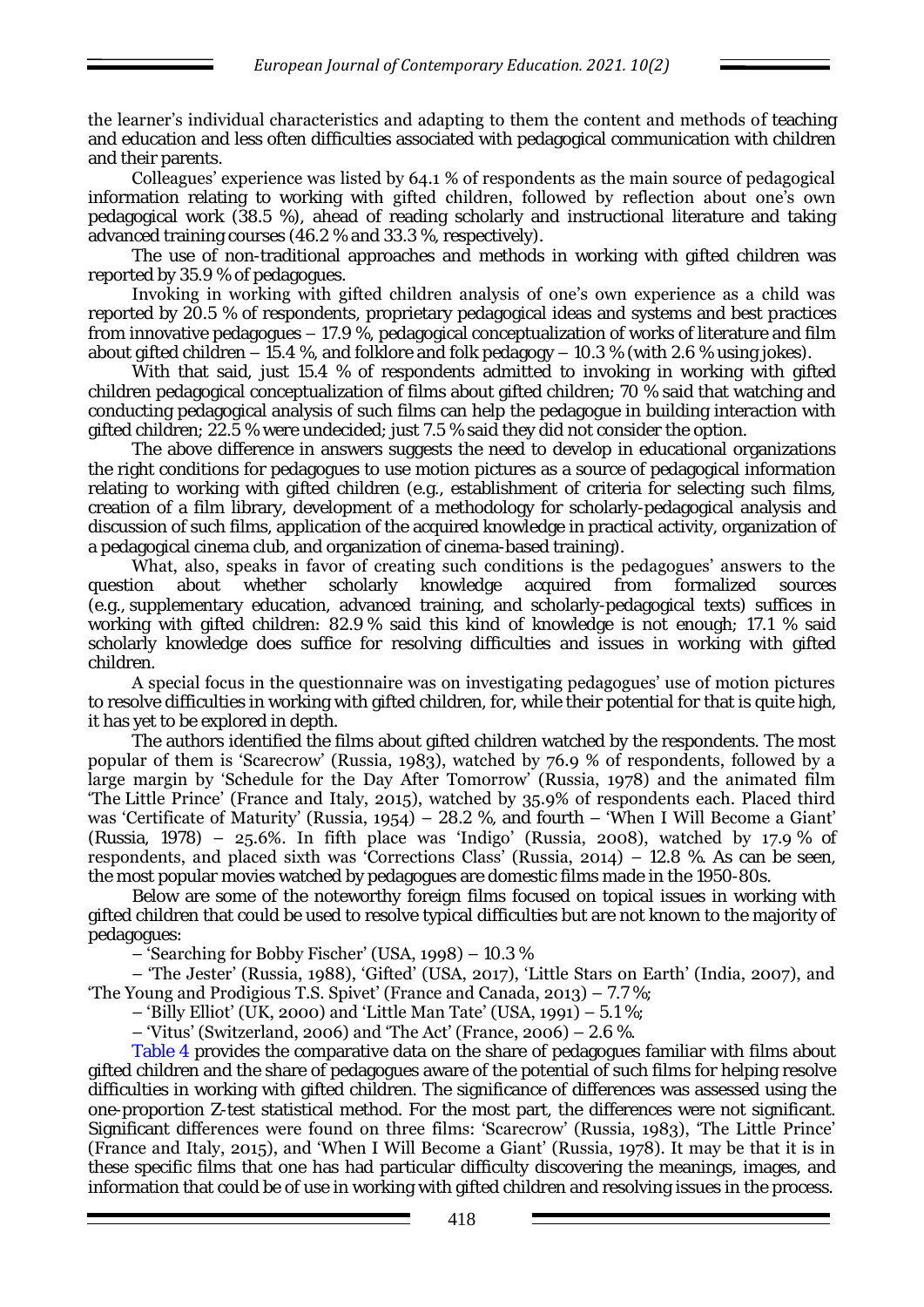the learner's individual characteristics and adapting to them the content and methods of teaching and education and less often difficulties associated with pedagogical communication with children and their parents.

Colleagues' experience was listed by 64.1 % of respondents as the main source of pedagogical information relating to working with gifted children, followed by reflection about one's own pedagogical work (38.5 %), ahead of reading scholarly and instructional literature and taking advanced training courses (46.2 % and 33.3 %, respectively).

The use of non-traditional approaches and methods in working with gifted children was reported by 35.9 % of pedagogues.

Invoking in working with gifted children analysis of one's own experience as a child was reported by 20.5 % of respondents, proprietary pedagogical ideas and systems and best practices from innovative pedagogues – 17.9 %, pedagogical conceptualization of works of literature and film about gifted children – 15.4 %, and folklore and folk pedagogy – 10.3 % (with 2.6 % using jokes).

With that said, just 15.4 % of respondents admitted to invoking in working with gifted children pedagogical conceptualization of films about gifted children; 70 % said that watching and conducting pedagogical analysis of such films can help the pedagogue in building interaction with gifted children; 22.5 % were undecided; just 7.5 % said they did not consider the option.

The above difference in answers suggests the need to develop in educational organizations the right conditions for pedagogues to use motion pictures as a source of pedagogical information relating to working with gifted children (e.g., establishment of criteria for selecting such films, creation of a film library, development of a methodology for scholarly-pedagogical analysis and discussion of such films, application of the acquired knowledge in practical activity, organization of a pedagogical cinema club, and organization of cinema-based training).

What, also, speaks in favor of creating such conditions is the pedagogues' answers to the question about whether scholarly knowledge acquired from formalized sources (e.g., supplementary education, advanced training, and scholarly-pedagogical texts) suffices in working with gifted children: 82.9 % said this kind of knowledge is not enough; 17.1 % said scholarly knowledge does suffice for resolving difficulties and issues in working with gifted children.

A special focus in the questionnaire was on investigating pedagogues' use of motion pictures to resolve difficulties in working with gifted children, for, while their potential for that is quite high, it has yet to be explored in depth.

The authors identified the films about gifted children watched by the respondents. The most popular of them is 'Scarecrow' (Russia, 1983), watched by 76.9 % of respondents, followed by a large margin by 'Schedule for the Day After Tomorrow' (Russia, 1978) and the animated film 'The Little Prince' (France and Italy, 2015), watched by 35.9% of respondents each. Placed third was 'Certificate of Maturity' (Russia, 1954) – 28.2 %, and fourth – 'When I Will Become a Giant' (Russia, 1978) – 25.6%. In fifth place was 'Indigo' (Russia, 2008), watched by 17.9 % of respondents, and placed sixth was 'Corrections Class' (Russia, 2014) – 12.8 %. As can be seen, the most popular movies watched by pedagogues are domestic films made in the 1950-80s.

Below are some of the noteworthy foreign films focused on topical issues in working with gifted children that could be used to resolve typical difficulties but are not known to the majority of pedagogues:

– 'Searching for Bobby Fischer' (USA, 1998) – 10.3 %

– 'The Jester' (Russia, 1988), 'Gifted' (USA, 2017), 'Little Stars on Earth' (India, 2007), and 'The Young and Prodigious T.S. Spivet' (France and Canada, 2013) – 7.7 %;

– 'Billy Elliot' (UK, 2000) and 'Little Man Tate' (USA, 1991) –  $5.1\%$ ;

– 'Vitus' (Switzerland, 2006) and 'The Act' (France, 2006) – 2.6 %.

Table 4 provides the comparative data on the share of pedagogues familiar with films about gifted children and the share of pedagogues aware of the potential of such films for helping resolve difficulties in working with gifted children. The significance of differences was assessed using the one-proportion Z-test statistical method. For the most part, the differences were not significant. Significant differences were found on three films: 'Scarecrow' (Russia, 1983), 'The Little Prince' (France and Italy, 2015), and 'When I Will Become a Giant' (Russia, 1978). It may be that it is in these specific films that one has had particular difficulty discovering the meanings, images, and information that could be of use in working with gifted children and resolving issues in the process.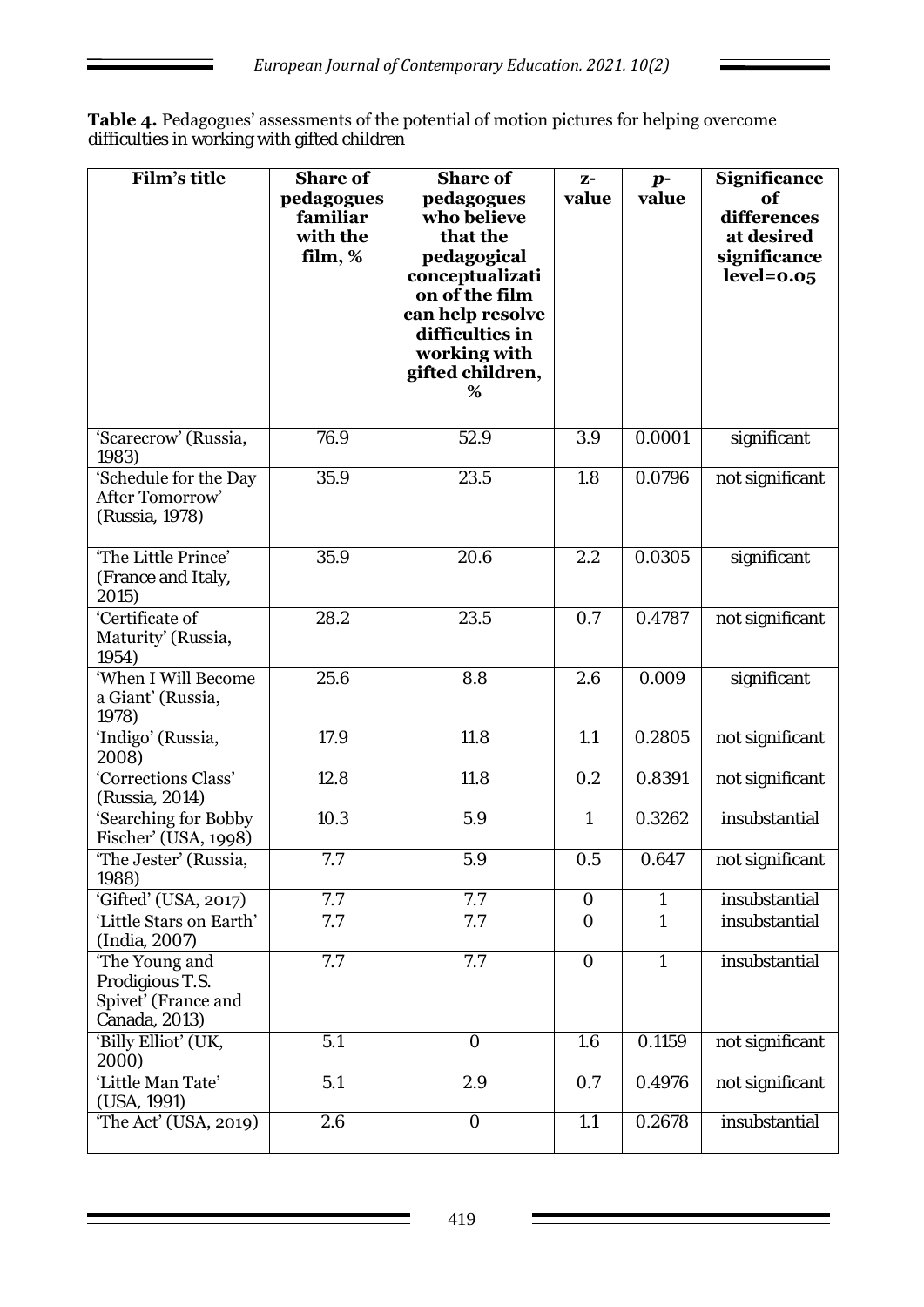**Table 4.** Pedagogues' assessments of the potential of motion pictures for helping overcome difficulties in working with gifted children

| Film's title                                                              | <b>Share of</b><br>pedagogues<br>familiar<br>with the<br>film, % | <b>Share of</b><br>pedagogues<br>who believe<br>that the<br>pedagogical<br>conceptualizati<br>on of the film<br>can help resolve<br>difficulties in<br>working with<br>gifted children,<br>% | $Z^-$<br>value | $p-$<br>value | <b>Significance</b><br>of<br>differences<br>at desired<br>significance<br>$level = 0.05$ |
|---------------------------------------------------------------------------|------------------------------------------------------------------|----------------------------------------------------------------------------------------------------------------------------------------------------------------------------------------------|----------------|---------------|------------------------------------------------------------------------------------------|
| 'Scarecrow' (Russia,<br>1983)                                             | 76.9                                                             | 52.9                                                                                                                                                                                         | 3.9            | 0.0001        | significant                                                                              |
| 'Schedule for the Day<br>After Tomorrow'<br>(Russia, 1978)                | 35.9                                                             | 23.5                                                                                                                                                                                         | 1.8            | 0.0796        | not significant                                                                          |
| 'The Little Prince'<br>(France and Italy,<br>2015)                        | 35.9                                                             | 20.6                                                                                                                                                                                         | 2.2            | 0.0305        | significant                                                                              |
| 'Certificate of<br>Maturity' (Russia,<br>1954)                            | 28.2                                                             | 23.5                                                                                                                                                                                         | 0.7            | 0.4787        | not significant                                                                          |
| 'When I Will Become<br>a Giant' (Russia,<br>1978)                         | 25.6                                                             | 8.8                                                                                                                                                                                          | 2.6            | 0.009         | significant                                                                              |
| 'Indigo' (Russia,<br>2008)                                                | 17.9                                                             | 11.8                                                                                                                                                                                         | 1.1            | 0.2805        | not significant                                                                          |
| 'Corrections Class'<br>(Russia, 2014)                                     | 12.8                                                             | 11.8                                                                                                                                                                                         | 0.2            | 0.8391        | not significant                                                                          |
| 'Searching for Bobby<br>Fischer' (USA, 1998)                              | 10.3                                                             | 5.9                                                                                                                                                                                          | $\overline{1}$ | 0.3262        | insubstantial                                                                            |
| 'The Jester' (Russia,<br>1988)                                            | 7.7                                                              | 5.9                                                                                                                                                                                          | 0.5            | 0.647         | not significant                                                                          |
| 'Gifted' (USA, 2017)                                                      | 7.7                                                              | 7.7                                                                                                                                                                                          | $\bigcirc$     | 1             | insubstantial                                                                            |
| 'Little Stars on Earth'<br>(India, 2007)                                  | 7.7                                                              | 7.7                                                                                                                                                                                          | $\bigcirc$     | 1             | insubstantial                                                                            |
| 'The Young and<br>Prodigious T.S.<br>Spivet' (France and<br>Canada, 2013) | 7.7                                                              | 7.7                                                                                                                                                                                          | $\overline{O}$ | 1             | insubstantial                                                                            |
| 'Billy Elliot' (UK,<br>2000)                                              | 5.1                                                              | $\overline{O}$                                                                                                                                                                               | 1.6            | 0.1159        | not significant                                                                          |
| 'Little Man Tate'<br>(USA, 1991)                                          | 5.1                                                              | 2.9                                                                                                                                                                                          | 0.7            | 0.4976        | not significant                                                                          |
| 'The Act' (USA, 2019)                                                     | 2.6                                                              | $\bigcirc$                                                                                                                                                                                   | 1.1            | 0.2678        | insubstantial                                                                            |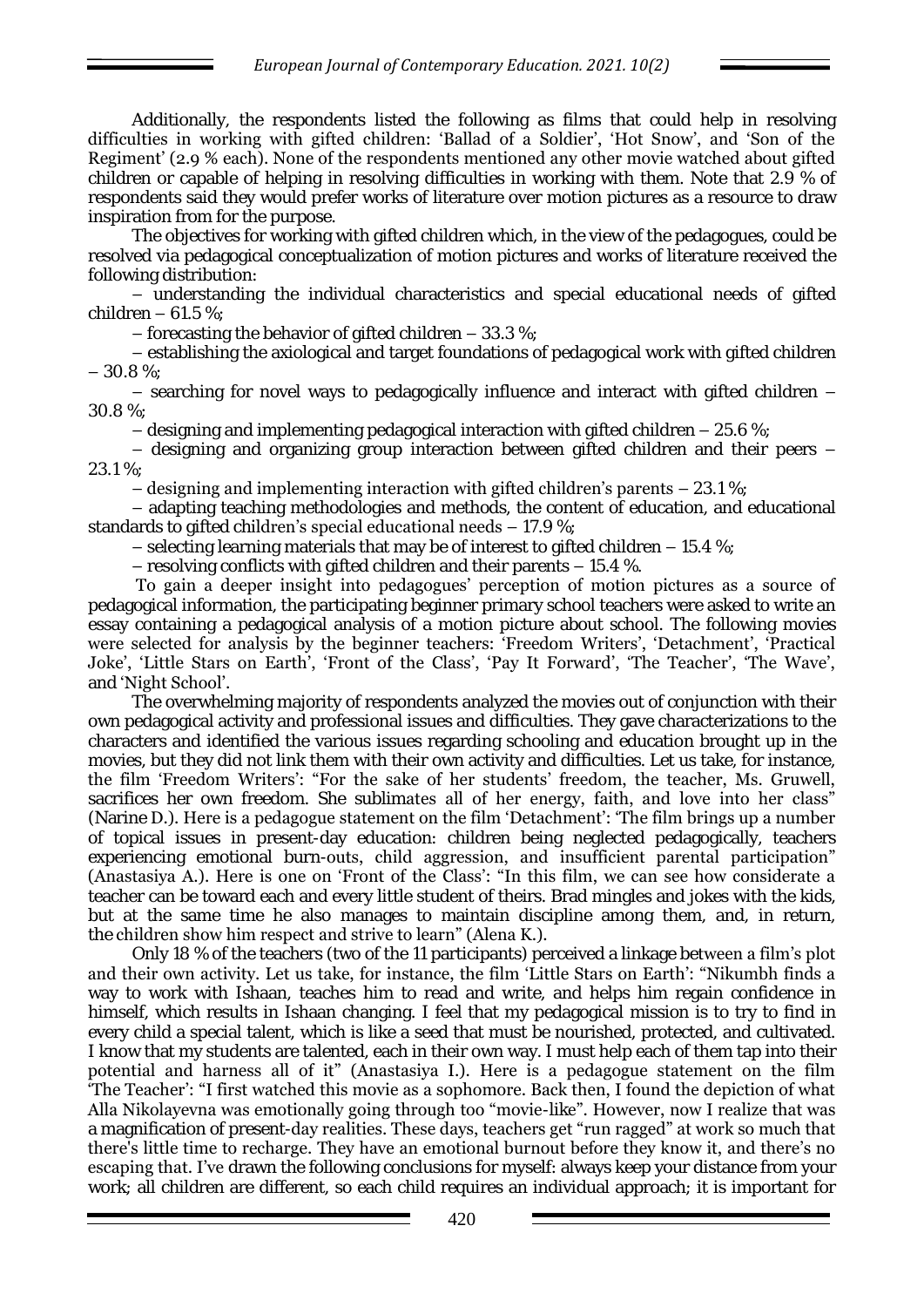Additionally, the respondents listed the following as films that could help in resolving difficulties in working with gifted children: 'Ballad of a Soldier', 'Hot Snow', and 'Son of the Regiment' (2.9 % each). None of the respondents mentioned any other movie watched about gifted children or capable of helping in resolving difficulties in working with them. Note that 2.9 % of respondents said they would prefer works of literature over motion pictures as a resource to draw inspiration from for the purpose.

The objectives for working with gifted children which, in the view of the pedagogues, could be resolved via pedagogical conceptualization of motion pictures and works of literature received the following distribution:

– understanding the individual characteristics and special educational needs of gifted children  $-61.5$  %;

– forecasting the behavior of gifted children  $-33.3\%$ ;

– establishing the axiological and target foundations of pedagogical work with gifted children – 30.8 %;

– searching for novel ways to pedagogically influence and interact with gifted children – 30.8 %;

 $-$  designing and implementing pedagogical interaction with gifted children  $-$  25.6 %;

– designing and organizing group interaction between gifted children and their peers – 23.1 %;

– designing and implementing interaction with gifted children's parents – 23.1 %;

– adapting teaching methodologies and methods, the content of education, and educational standards to gifted children's special educational needs – 17.9 %;

 $-$  selecting learning materials that may be of interest to gifted children  $-$  15.4 %;

– resolving conflicts with gifted children and their parents – 15.4 %.

To gain a deeper insight into pedagogues' perception of motion pictures as a source of pedagogical information, the participating beginner primary school teachers were asked to write an essay containing a pedagogical analysis of a motion picture about school. The following movies were selected for analysis by the beginner teachers: 'Freedom Writers', 'Detachment', 'Practical Joke', 'Little Stars on Earth', 'Front of the Class', 'Pay It Forward', 'The Teacher', 'The Wave', and 'Night School'.

The overwhelming majority of respondents analyzed the movies out of conjunction with their own pedagogical activity and professional issues and difficulties. They gave characterizations to the characters and identified the various issues regarding schooling and education brought up in the movies, but they did not link them with their own activity and difficulties. Let us take, for instance, the film 'Freedom Writers': "For the sake of her students' freedom, the teacher, Ms. Gruwell, sacrifices her own freedom. She sublimates all of her energy, faith, and love into her class" (Narine D.). Here is a pedagogue statement on the film 'Detachment': 'The film brings up a number of topical issues in present-day education: children being neglected pedagogically, teachers experiencing emotional burn-outs, child aggression, and insufficient parental participation" (Anastasiya A.). Here is one on 'Front of the Class': "In this film, we can see how considerate a teacher can be toward each and every little student of theirs. Brad mingles and jokes with the kids, but at the same time he also manages to maintain discipline among them, and, in return, the children show him respect and strive to learn" (Alena K.).

Only 18 % of the teachers (two of the 11 participants) perceived a linkage between a film's plot and their own activity. Let us take, for instance, the film 'Little Stars on Earth': "Nikumbh finds a way to work with Ishaan, teaches him to read and write, and helps him regain confidence in himself, which results in Ishaan changing. I feel that my pedagogical mission is to try to find in every child a special talent, which is like a seed that must be nourished, protected, and cultivated. I know that my students are talented, each in their own way. I must help each of them tap into their potential and harness all of it" (Anastasiya I.). Here is a pedagogue statement on the film 'The Teacher': "I first watched this movie as a sophomore. Back then, I found the depiction of what Alla Nikolayevna was emotionally going through too "movie-like". However, now I realize that was a magnification of present-day realities. These days, teachers get "run ragged" at work so much that there's little time to recharge. They have an emotional burnout before they know it, and there's no escaping that. I've drawn the following conclusions for myself: always keep your distance from your work; all children are different, so each child requires an individual approach; it is important for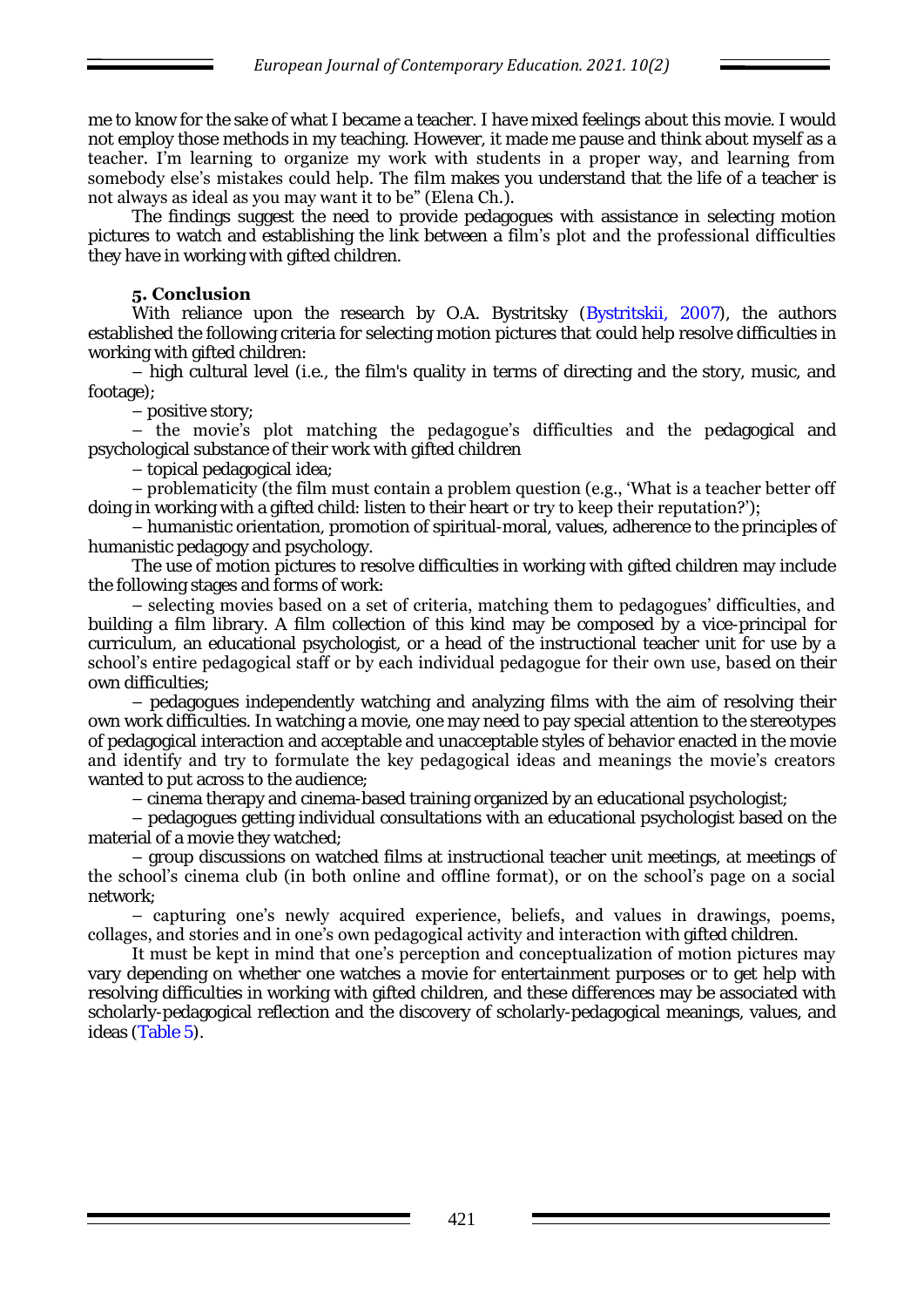me to know for the sake of what I became a teacher. I have mixed feelings about this movie. I would not employ those methods in my teaching. However, it made me pause and think about myself as a teacher. I'm learning to organize my work with students in a proper way, and learning from somebody else's mistakes could help. The film makes you understand that the life of a teacher is not always as ideal as you may want it to be" (Elena Ch.).

The findings suggest the need to provide pedagogues with assistance in selecting motion pictures to watch and establishing the link between a film's plot and the professional difficulties they have in working with gifted children.

## **5. Conclusion**

With reliance upon the research by O.A. Bystritsky (Bystritskii, 2007), the authors established the following criteria for selecting motion pictures that could help resolve difficulties in working with gifted children:

– high cultural level (i.e., the film's quality in terms of directing and the story, music, and footage);

– positive story;

– the movie's plot matching the pedagogue's difficulties and the pedagogical and psychological substance of their work with gifted children

– topical pedagogical idea;

– problematicity (the film must contain a problem question (e.g., 'What is a teacher better off doing in working with a gifted child: listen to their heart or try to keep their reputation?');

– humanistic orientation, promotion of spiritual-moral, values, adherence to the principles of humanistic pedagogy and psychology.

The use of motion pictures to resolve difficulties in working with gifted children may include the following stages and forms of work:

– selecting movies based on a set of criteria, matching them to pedagogues' difficulties, and building a film library. A film collection of this kind may be composed by a vice-principal for curriculum, an educational psychologist, or a head of the instructional teacher unit for use by a school's entire pedagogical staff or by each individual pedagogue for their own use, based on their own difficulties;

– pedagogues independently watching and analyzing films with the aim of resolving their own work difficulties. In watching a movie, one may need to pay special attention to the stereotypes of pedagogical interaction and acceptable and unacceptable styles of behavior enacted in the movie and identify and try to formulate the key pedagogical ideas and meanings the movie's creators wanted to put across to the audience;

– cinema therapy and cinema-based training organized by an educational psychologist;

– pedagogues getting individual consultations with an educational psychologist based on the material of a movie they watched;

– group discussions on watched films at instructional teacher unit meetings, at meetings of the school's cinema club (in both online and offline format), or on the school's page on a social network;

– capturing one's newly acquired experience, beliefs, and values in drawings, poems, collages, and stories and in one's own pedagogical activity and interaction with gifted children.

It must be kept in mind that one's perception and conceptualization of motion pictures may vary depending on whether one watches a movie for entertainment purposes or to get help with resolving difficulties in working with gifted children, and these differences may be associated with scholarly-pedagogical reflection and the discovery of scholarly-pedagogical meanings, values, and ideas (Table 5).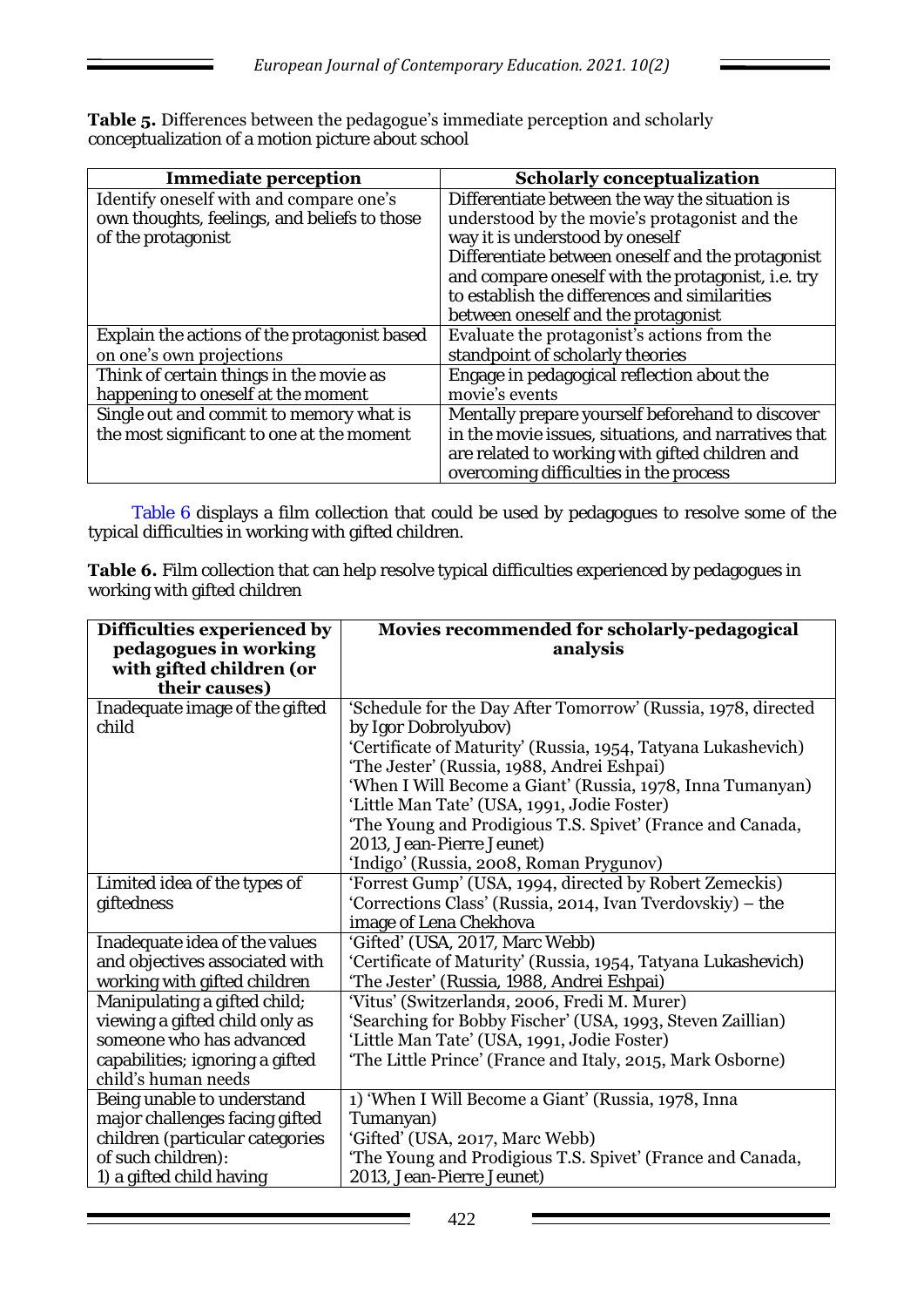**Table 5.** Differences between the pedagogue's immediate perception and scholarly conceptualization of a motion picture about school

| <b>Immediate perception</b>                                                             | <b>Scholarly conceptualization</b>                                                              |
|-----------------------------------------------------------------------------------------|-------------------------------------------------------------------------------------------------|
| Identify oneself with and compare one's<br>own thoughts, feelings, and beliefs to those | Differentiate between the way the situation is<br>understood by the movie's protagonist and the |
| of the protagonist                                                                      | way it is understood by oneself<br>Differentiate between oneself and the protagonist            |
|                                                                                         | and compare oneself with the protagonist, i.e. try                                              |
|                                                                                         | to establish the differences and similarities<br>between oneself and the protagonist            |
| Explain the actions of the protagonist based                                            | Evaluate the protagonist's actions from the                                                     |
| on one's own projections                                                                | standpoint of scholarly theories                                                                |
| Think of certain things in the movie as                                                 | Engage in pedagogical reflection about the                                                      |
| happening to oneself at the moment                                                      | movie's events                                                                                  |
| Single out and commit to memory what is                                                 | Mentally prepare yourself beforehand to discover                                                |
| the most significant to one at the moment                                               | in the movie issues, situations, and narratives that                                            |
|                                                                                         | are related to working with gifted children and                                                 |
|                                                                                         | overcoming difficulties in the process                                                          |

Table 6 displays a film collection that could be used by pedagogues to resolve some of the typical difficulties in working with gifted children.

**Table 6.** Film collection that can help resolve typical difficulties experienced by pedagogues in working with gifted children

| Difficulties experienced by<br>pedagogues in working<br>with gifted children (or<br>their causes) | Movies recommended for scholarly-pedagogical<br>analysis                                                              |
|---------------------------------------------------------------------------------------------------|-----------------------------------------------------------------------------------------------------------------------|
| Inadequate image of the gifted                                                                    | 'Schedule for the Day After Tomorrow' (Russia, 1978, directed                                                         |
| child                                                                                             | by Igor Dobrolyubov)                                                                                                  |
|                                                                                                   | 'Certificate of Maturity' (Russia, 1954, Tatyana Lukashevich)<br>'The Jester' (Russia, 1988, Andrei Eshpai)           |
|                                                                                                   | 'When I Will Become a Giant' (Russia, 1978, Inna Tumanyan)                                                            |
|                                                                                                   | 'Little Man Tate' (USA, 1991, Jodie Foster)                                                                           |
|                                                                                                   | 'The Young and Prodigious T.S. Spivet' (France and Canada,                                                            |
|                                                                                                   | 2013, Jean-Pierre Jeunet)                                                                                             |
|                                                                                                   | 'Indigo' (Russia, 2008, Roman Prygunov)                                                                               |
| Limited idea of the types of<br>giftedness                                                        | 'Forrest Gump' (USA, 1994, directed by Robert Zemeckis)<br>'Corrections Class' (Russia, 2014, Ivan Tverdovskiy) – the |
|                                                                                                   | image of Lena Chekhova                                                                                                |
| Inadequate idea of the values                                                                     | 'Gifted' (USA, 2017, Marc Webb)                                                                                       |
| and objectives associated with                                                                    | 'Certificate of Maturity' (Russia, 1954, Tatyana Lukashevich)                                                         |
| working with gifted children                                                                      | "The Jester" (Russia, 1988, Andrei Eshpai)                                                                            |
| Manipulating a gifted child;                                                                      | 'Vitus' (Switzerlanda, 2006, Fredi M. Murer)                                                                          |
| viewing a gifted child only as<br>someone who has advanced                                        | 'Searching for Bobby Fischer' (USA, 1993, Steven Zaillian)                                                            |
| capabilities; ignoring a gifted                                                                   | 'Little Man Tate' (USA, 1991, Jodie Foster)<br>'The Little Prince' (France and Italy, 2015, Mark Osborne)             |
| child's human needs                                                                               |                                                                                                                       |
| Being unable to understand                                                                        | 1) 'When I Will Become a Giant' (Russia, 1978, Inna                                                                   |
| major challenges facing gifted                                                                    | Tumanyan)                                                                                                             |
| children (particular categories                                                                   | 'Gifted' (USA, 2017, Marc Webb)                                                                                       |
| of such children):                                                                                | 'The Young and Prodigious T.S. Spivet' (France and Canada,                                                            |
| 1) a gifted child having                                                                          | 2013, Jean-Pierre Jeunet)                                                                                             |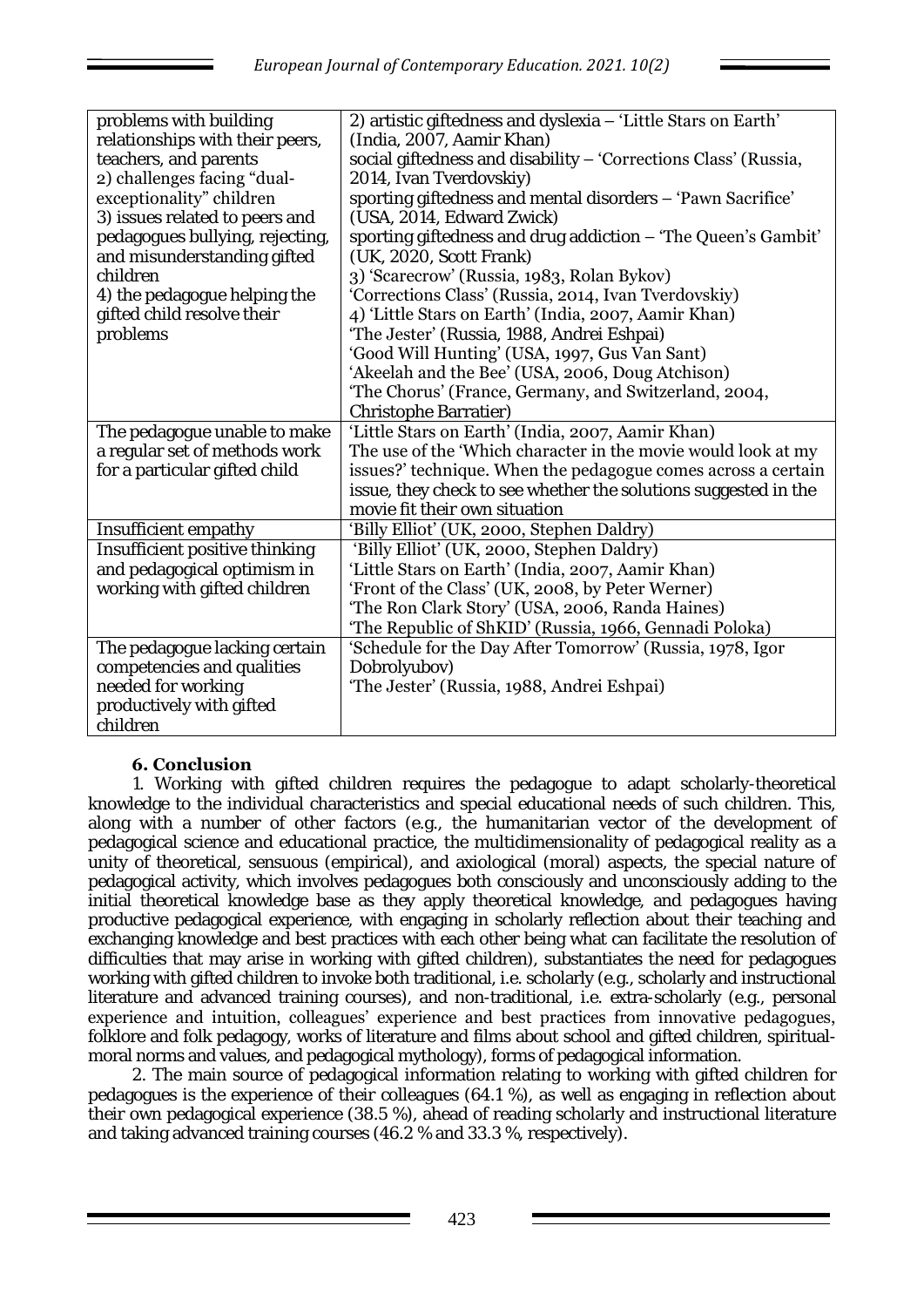| problems with building               | 2) artistic giftedness and dyslexia - 'Little Stars on Earth'   |
|--------------------------------------|-----------------------------------------------------------------|
| relationships with their peers,      | (India, 2007, Aamir Khan)                                       |
| teachers, and parents                | social giftedness and disability - 'Corrections Class' (Russia, |
| 2) challenges facing "dual-          | 2014, Ivan Tverdovskiy)                                         |
| exceptionality" children             | sporting giftedness and mental disorders - 'Pawn Sacrifice'     |
| 3) issues related to peers and       | (USA, 2014, Edward Zwick)                                       |
| pedagogues bullying, rejecting,      | sporting giftedness and drug addiction - 'The Queen's Gambit'   |
| and misunderstanding gifted          | (UK, 2020, Scott Frank)                                         |
| children                             | 3) 'Scarecrow' (Russia, 1983, Rolan Bykov)                      |
| 4) the pedagogue helping the         | 'Corrections Class' (Russia, 2014, Ivan Tverdovskiy)            |
| gifted child resolve their           | 4) 'Little Stars on Earth' (India, 2007, Aamir Khan)            |
| problems                             | "The Jester' (Russia, 1988, Andrei Eshpai)                      |
|                                      | 'Good Will Hunting' (USA, 1997, Gus Van Sant)                   |
|                                      | 'Akeelah and the Bee' (USA, 2006, Doug Atchison)                |
|                                      | 'The Chorus' (France, Germany, and Switzerland, 2004,           |
|                                      | Christophe Barratier)                                           |
| The pedagogue unable to make         | 'Little Stars on Earth' (India, 2007, Aamir Khan)               |
| a regular set of methods work        | The use of the 'Which character in the movie would look at my   |
| for a particular gifted child        | issues?' technique. When the pedagogue comes across a certain   |
|                                      | issue, they check to see whether the solutions suggested in the |
|                                      | movie fit their own situation                                   |
| Insufficient empathy                 | 'Billy Elliot' (UK, 2000, Stephen Daldry)                       |
| Insufficient positive thinking       | 'Billy Elliot' (UK, 2000, Stephen Daldry)                       |
| and pedagogical optimism in          | 'Little Stars on Earth' (India, 2007, Aamir Khan)               |
| working with gifted children         |                                                                 |
|                                      | 'Front of the Class' (UK, 2008, by Peter Werner)                |
|                                      | 'The Ron Clark Story' (USA, 2006, Randa Haines)                 |
|                                      | 'The Republic of ShKID' (Russia, 1966, Gennadi Poloka)          |
| The pedagogue lacking certain        | 'Schedule for the Day After Tomorrow' (Russia, 1978, Igor       |
| competencies and qualities           | Dobrolyubov)                                                    |
| needed for working                   | 'The Jester' (Russia, 1988, Andrei Eshpai)                      |
| productively with gifted<br>children |                                                                 |

# **6. Conclusion**

1. Working with gifted children requires the pedagogue to adapt scholarly-theoretical knowledge to the individual characteristics and special educational needs of such children. This, along with a number of other factors (e.g., the humanitarian vector of the development of pedagogical science and educational practice, the multidimensionality of pedagogical reality as a unity of theoretical, sensuous (empirical), and axiological (moral) aspects, the special nature of pedagogical activity, which involves pedagogues both consciously and unconsciously adding to the initial theoretical knowledge base as they apply theoretical knowledge, and pedagogues having productive pedagogical experience, with engaging in scholarly reflection about their teaching and exchanging knowledge and best practices with each other being what can facilitate the resolution of difficulties that may arise in working with gifted children), substantiates the need for pedagogues working with gifted children to invoke both traditional, i.e. scholarly (e.g., scholarly and instructional literature and advanced training courses), and non-traditional, i.e. extra-scholarly (e.g., personal experience and intuition, colleagues' experience and best practices from innovative pedagogues, folklore and folk pedagogy, works of literature and films about school and gifted children, spiritualmoral norms and values, and pedagogical mythology), forms of pedagogical information.

2. The main source of pedagogical information relating to working with gifted children for pedagogues is the experience of their colleagues (64.1 %), as well as engaging in reflection about their own pedagogical experience (38.5 %), ahead of reading scholarly and instructional literature and taking advanced training courses (46.2 % and 33.3 %, respectively).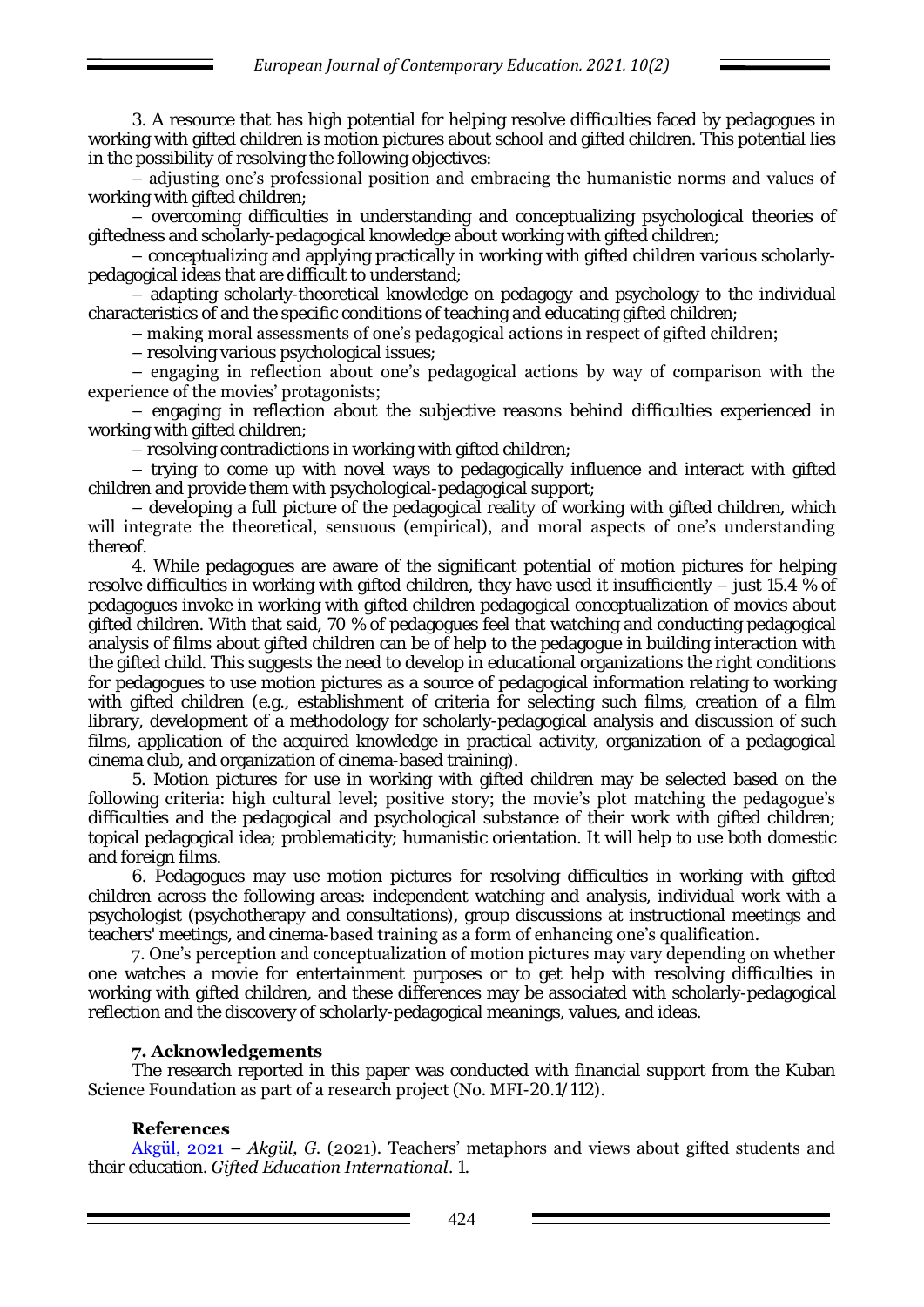3. A resource that has high potential for helping resolve difficulties faced by pedagogues in working with gifted children is motion pictures about school and gifted children. This potential lies in the possibility of resolving the following objectives:

– adjusting one's professional position and embracing the humanistic norms and values of working with gifted children;

– overcoming difficulties in understanding and conceptualizing psychological theories of giftedness and scholarly-pedagogical knowledge about working with gifted children;

– conceptualizing and applying practically in working with gifted children various scholarlypedagogical ideas that are difficult to understand;

– adapting scholarly-theoretical knowledge on pedagogy and psychology to the individual characteristics of and the specific conditions of teaching and educating gifted children;

– making moral assessments of one's pedagogical actions in respect of gifted children;

– resolving various psychological issues;

– engaging in reflection about one's pedagogical actions by way of comparison with the experience of the movies' protagonists;

– engaging in reflection about the subjective reasons behind difficulties experienced in working with gifted children;

– resolving contradictions in working with gifted children;

– trying to come up with novel ways to pedagogically influence and interact with gifted children and provide them with psychological-pedagogical support;

– developing a full picture of the pedagogical reality of working with gifted children, which will integrate the theoretical, sensuous (empirical), and moral aspects of one's understanding thereof.

4. While pedagogues are aware of the significant potential of motion pictures for helping resolve difficulties in working with gifted children, they have used it insufficiently – just 15.4 % of pedagogues invoke in working with gifted children pedagogical conceptualization of movies about gifted children. With that said, 70 % of pedagogues feel that watching and conducting pedagogical analysis of films about gifted children can be of help to the pedagogue in building interaction with the gifted child. This suggests the need to develop in educational organizations the right conditions for pedagogues to use motion pictures as a source of pedagogical information relating to working with gifted children (e.g., establishment of criteria for selecting such films, creation of a film library, development of a methodology for scholarly-pedagogical analysis and discussion of such films, application of the acquired knowledge in practical activity, organization of a pedagogical cinema club, and organization of cinema-based training).

5. Motion pictures for use in working with gifted children may be selected based on the following criteria: high cultural level; positive story; the movie's plot matching the pedagogue's difficulties and the pedagogical and psychological substance of their work with gifted children; topical pedagogical idea; problematicity; humanistic orientation. It will help to use both domestic and foreign films.

6. Pedagogues may use motion pictures for resolving difficulties in working with gifted children across the following areas: independent watching and analysis, individual work with a psychologist (psychotherapy and consultations), group discussions at instructional meetings and teachers' meetings, and cinema-based training as a form of enhancing one's qualification.

7. One's perception and conceptualization of motion pictures may vary depending on whether one watches a movie for entertainment purposes or to get help with resolving difficulties in working with gifted children, and these differences may be associated with scholarly-pedagogical reflection and the discovery of scholarly-pedagogical meanings, values, and ideas.

## **7. Acknowledgements**

The research reported in this paper was conducted with financial support from the Kuban Science Foundation as part of a research project (No. MFI-20.1/112).

## **References**

Akgül, 2021 – *Akgül, G.* (2021). Teachers' metaphors and views about gifted students and their education. *Gifted Education International*. 1.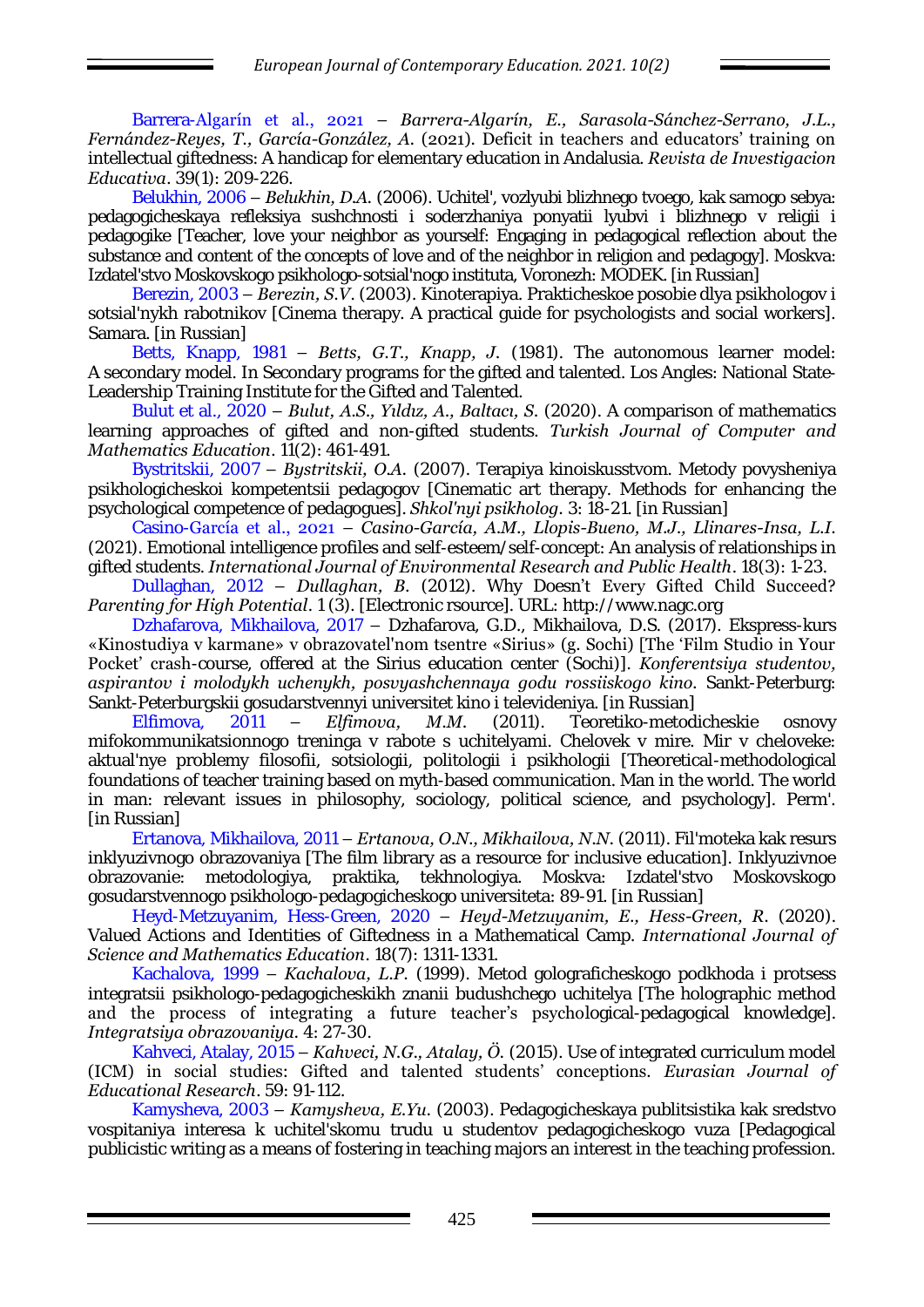Barrera-Algarín et al., 2021 – *Barrera-Algarín, E., Sarasola-Sánchez-Serrano, J.L., Fernández-Reyes, T., García-González, A.* (2021). Deficit in teachers and educators' training on intellectual giftedness: A handicap for elementary education in Andalusia. *Revista de Investigacion Educativa*. 39(1): 209-226.

Belukhin, 2006 – *Belukhin, D.A.* (2006). Uchitel', vozlyubi blizhnego tvoego, kak samogo sebya: pedagogicheskaya refleksiya sushchnosti i soderzhaniya ponyatii lyubvi i blizhnego v religii i pedagogike [Teacher, love your neighbor as yourself: Engaging in pedagogical reflection about the substance and content of the concepts of love and of the neighbor in religion and pedagogy]. Moskva: Izdatel'stvo Moskovskogo psikhologo-sotsial'nogo instituta, Voronezh: MODEK. [in Russian]

Berezin, 2003 – *Berezin, S.V*. (2003). Kinoterapiya. Prakticheskoe posobie dlya psikhologov i sotsial'nykh rabotnikov [Cinema therapy. A practical guide for psychologists and social workers]. Samara. [in Russian]

Betts, Knapp, 1981 – *Betts, G.T., Knapp, J.* (1981). The autonomous learner model: A secondary model. In Secondary programs for the gifted and talented. Los Angles: National State‐ Leadership Training Institute for the Gifted and Talented.

Bulut et al., 2020 – **Bulut, A.S., Yıldız, A., Baltacı, S.** (2020). A comparison of mathematics learning approaches of gifted and non-gifted students. *Turkish Journal of Computer and Mathematics Education*. 11(2): 461-491.

Bystritskii, 2007 – *Bystritskii, O.A.* (2007). Terapiya kinoiskusstvom. Metody povysheniya psikhologicheskoi kompetentsii pedagogov [Cinematic art therapy. Methods for enhancing the psychological competence of pedagogues]. *Shkol'nyi psikholog.* 3: 18-21. [in Russian]

Casino-García et al., 2021 – *Casino-García, A.M., Llopis-Bueno, M.J., Llinares-Insa, L.I.* (2021). Emotional intelligence profiles and self-esteem/self-concept: An analysis of relationships in gifted students. *International Journal of Environmental Research and Public Health*. 18(3): 1-23.

Dullaghan, 2012 – *Dullaghan, B.* (2012). Why Doesn't Every Gifted Child Succeed? *Parenting for High Potential*. 1 (3). [Electronic rsource]. URL: [http://www.nagc.org](http://www.nagc.org/)

Dzhafarova, Mikhailova, 2017 – Dzhafarova, G.D., Mikhailova, D.S. (2017). Ekspress-kurs «Kinostudiya v karmane» v obrazovatel'nom tsentre «Sirius» (g. Sochi) [The 'Film Studio in Your Pocket' crash-course, offered at the Sirius education center (Sochi)]. *Konferentsiya studentov, aspirantov i molodykh uchenykh, posvyashchennaya godu rossiiskogo kino.* Sankt-Peterburg: Sankt-Peterburgskii gosudarstvennyi universitet kino i televideniya. [in Russian]

Elfimova, 2011 – *Elfimova, M.M.* (2011). Teoretiko-metodicheskie osnovy mifokommunikatsionnogo treninga v rabote s uchitelyami. Chelovek v mire. Mir v cheloveke: aktual'nye problemy filosofii, sotsiologii, politologii i psikhologii [Theoretical-methodological foundations of teacher training based on myth-based communication. Man in the world. The world in man: relevant issues in philosophy, sociology, political science, and psychology]. Perm'. [in Russian]

Ertanova, Mikhailova, 2011 – *Ertanova, O.N., Mikhailova, N.N.* (2011). Fil'moteka kak resurs inklyuzivnogo obrazovaniya [The film library as a resource for inclusive education]. Inklyuzivnoe obrazovanie: metodologiya, praktika, tekhnologiya. Moskva: Izdatel'stvo Moskovskogo gosudarstvennogo psikhologo-pedagogicheskogo universiteta: 89-91. [in Russian]

Heyd-Metzuyanim, Hess-Green, 2020 – *Heyd-Metzuyanim, E., Hess-Green, R.* (2020). Valued Actions and Identities of Giftedness in a Mathematical Camp. *International Journal of Science and Mathematics Education*. 18(7): 1311-1331.

Kachalova, 1999 – *Kachalova, L.P.* (1999). Metod golograficheskogo podkhoda i protsess integratsii psikhologo-pedagogicheskikh znanii budushchego uchitelya [The holographic method and the process of integrating a future teacher's psychological-pedagogical knowledge]. *Integratsiya obrazovaniya.* 4: 27-30.

Kahveci, Atalay, 2015 – *Kahveci, N.G., Atalay, Ö.* (2015). Use of integrated curriculum model (ICM) in social studies: Gifted and talented students' conceptions. *Eurasian Journal of Educational Research*. 59: 91-112.

Kamysheva, 2003 – *Kamysheva, E.Yu.* (2003). Pedagogicheskaya publitsistika kak sredstvo vospitaniya interesa k uchitel'skomu trudu u studentov pedagogicheskogo vuza [Pedagogical publicistic writing as a means of fostering in teaching majors an interest in the teaching profession.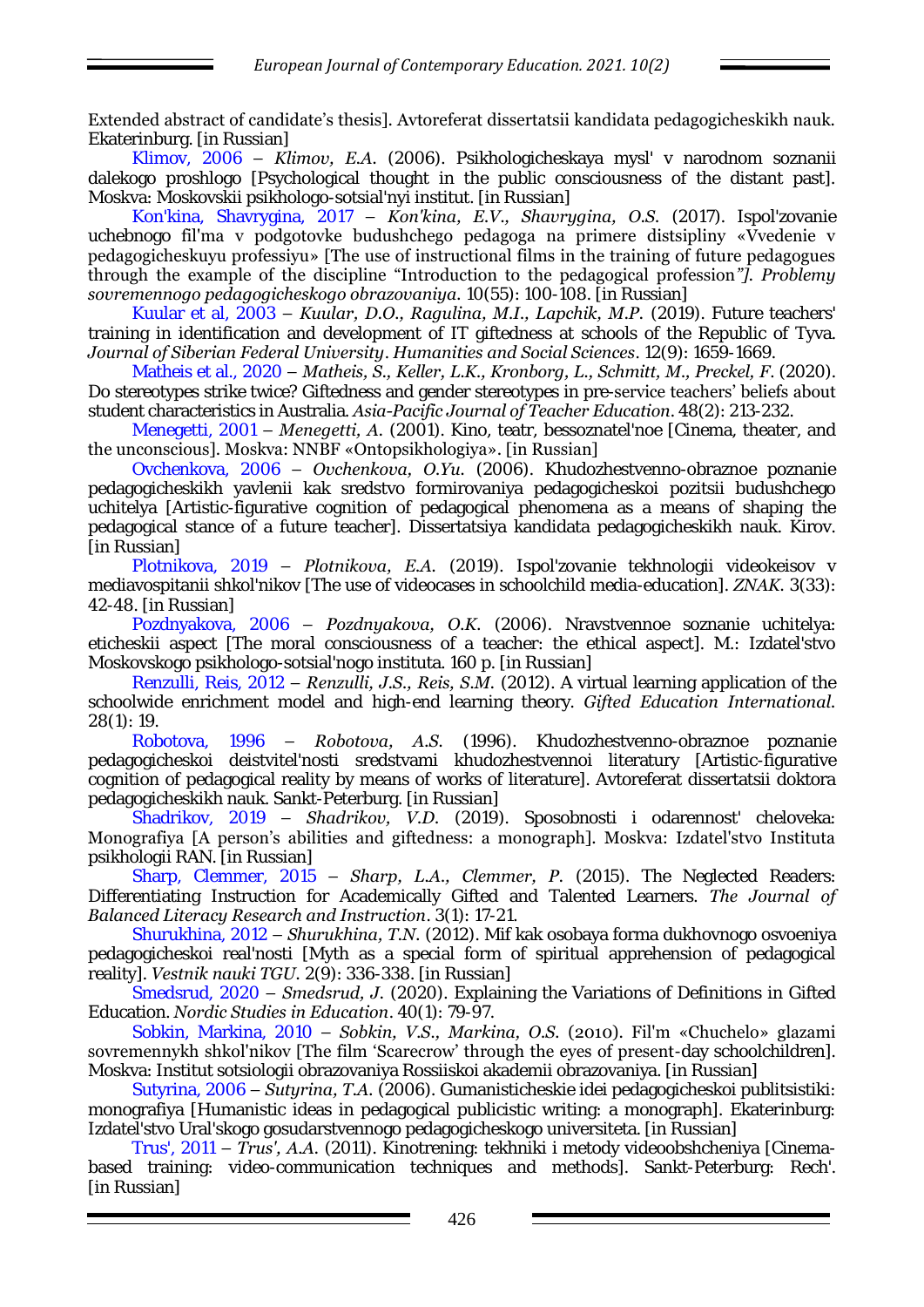Extended abstract of candidate's thesis]. Avtoreferat dissertatsii kandidata pedagogicheskikh nauk. Ekaterinburg. [in Russian]

Klimov, 2006 – *Klimov, E.A.* (2006). Psikhologicheskaya mysl' v narodnom soznanii dalekogo proshlogo [Psychological thought in the public consciousness of the distant past]. Moskva: Moskovskii psikhologo-sotsial'nyi institut. [in Russian]

Kon'kina, Shavrygina, 2017 – *Kon'kina, E.V., Shavrygina, O.S.* (2017). Ispol'zovanie uchebnogo fil'ma v podgotovke budushchego pedagoga na primere distsipliny «Vvedenie v pedagogicheskuyu professiyu» [The use of instructional films in the training of future pedagogues through the example of the discipline "Introduction to the pedagogical profession*"]. Problemy sovremennogo pedagogicheskogo obrazovaniya.* 10(55): 100-108. [in Russian]

Kuular et al, 2003 – *Kuular, D.O., Ragulina, M.I., Lapchik, M.P.* (2019). Future teachers' training in identification and development of IT giftedness at schools of the Republic of Tyva. *Journal of Siberian Federal University*. *Humanities and Social Sciences*. 12(9): 1659-1669.

Matheis et al., 2020 – *Matheis, S., Keller, L.K., Kronborg, L., Schmitt, M., Preckel, F*. (2020). Do stereotypes strike twice? Giftedness and gender stereotypes in pre-service teachers' beliefs about student characteristics in Australia. *Asia-Pacific Journal of Teacher Education*. 48(2): 213-232.

Menegetti, 2001 – *Menegetti, A.* (2001). Kino, teatr, bessoznatel'noe [Cinema, theater, and the unconscious]. Moskva: NNBF «Ontopsikhologiya». [in Russian]

Ovchenkova, 2006 – *Ovchenkova, O.Yu.* (2006). Khudozhestvenno-obraznoe poznanie pedagogicheskikh yavlenii kak sredstvo formirovaniya pedagogicheskoi pozitsii budushchego uchitelya [Artistic-figurative cognition of pedagogical phenomena as a means of shaping the pedagogical stance of a future teacher]. Dissertatsiya kandidata pedagogicheskikh nauk. Kirov. [in Russian]

Plotnikova, 2019 – *Plotnikova, E.A.* (2019). Ispol'zovanie tekhnologii videokeisov v mediavospitanii shkol'nikov [The use of videocases in schoolchild media-education]. *ZNAK.* 3(33): 42-48. [in Russian]

Pozdnyakova, 2006 – *Pozdnyakova, O.K.* (2006). Nravstvennoe soznanie uchitelya: eticheskii aspect [The moral consciousness of a teacher: the ethical aspect]. M.: Izdatel'stvo Moskovskogo psikhologo-sotsial'nogo instituta. 160 p. [in Russian]

Renzulli, Reis, 2012 – *Renzulli, J.S., Reis, S.M.* (2012). A virtual learning application of the schoolwide enrichment model and high-end learning theory. *Gifted Education International.* 28(1): 19.

Robotova, 1996 – *Robotova, A.S.* (1996). Khudozhestvenno-obraznoe poznanie pedagogicheskoi deistvitel'nosti sredstvami khudozhestvennoi literatury [Artistic-figurative cognition of pedagogical reality by means of works of literature]. Avtoreferat dissertatsii doktora pedagogicheskikh nauk. Sankt-Peterburg. [in Russian]

Shadrikov, 2019 – *Shadrikov, V.D.* (2019). Sposobnosti i odarennost' cheloveka: Monografiya [A person's abilities and giftedness: a monograph]. Moskva: Izdatel'stvo Instituta psikhologii RAN. [in Russian]

Sharp, Clemmer, 2015 – *Sharp, L.A., Clemmer, P.* (2015). The Neglected Readers: Differentiating Instruction for Academically Gifted and Talented Learners. *The Journal of Balanced Literacy Research and Instruction*. 3(1): 17-21.

Shurukhina, 2012 – *Shurukhina, T.N.* (2012). Mif kak osobaya forma dukhovnogo osvoeniya pedagogicheskoi real'nosti [Myth as a special form of spiritual apprehension of pedagogical reality]. *Vestnik nauki TGU.* 2(9): 336-338. [in Russian]

Smedsrud, 2020 – *Smedsrud, J.* (2020). Explaining the Variations of Definitions in Gifted Education. *Nordic Studies in Education*. 40(1): 79-97.

Sobkin, Markina, 2010 – *Sobkin, V.S., Markina, O.S.* (2010). Fil'm «Chuchelo» glazami sovremennykh shkol'nikov [The film 'Scarecrow' through the eyes of present-day schoolchildren]. Moskva: Institut sotsiologii obrazovaniya Rossiiskoi akademii obrazovaniya. [in Russian]

Sutyrina, 2006 – *Sutyrina, T.A.* (2006). Gumanisticheskie idei pedagogicheskoi publitsistiki: monografiya [Humanistic ideas in pedagogical publicistic writing: a monograph]. Ekaterinburg: Izdatel'stvo Ural'skogo gosudarstvennogo pedagogicheskogo universiteta. [in Russian]

Trus', 2011 – *Trus', A.A.* (2011). Kinotrening: tekhniki i metody videoobshcheniya [Cinemabased training: video-communication techniques and methods]. Sankt-Peterburg: Rech'. [in Russian]